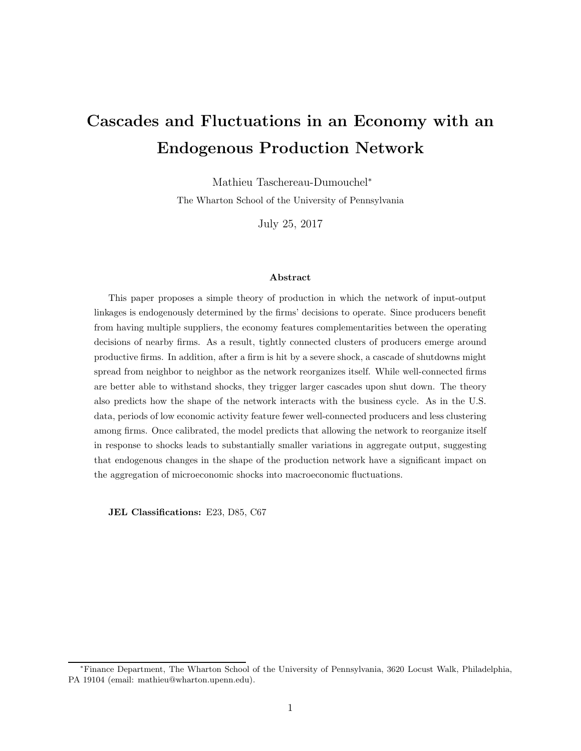# Cascades and Fluctuations in an Economy with an Endogenous Production Network

Mathieu Taschereau-Dumouchel<sup>∗</sup> The Wharton School of the University of Pennsylvania

July 25, 2017

#### Abstract

This paper proposes a simple theory of production in which the network of input-output linkages is endogenously determined by the firms' decisions to operate. Since producers benefit from having multiple suppliers, the economy features complementarities between the operating decisions of nearby firms. As a result, tightly connected clusters of producers emerge around productive firms. In addition, after a firm is hit by a severe shock, a cascade of shutdowns might spread from neighbor to neighbor as the network reorganizes itself. While well-connected firms are better able to withstand shocks, they trigger larger cascades upon shut down. The theory also predicts how the shape of the network interacts with the business cycle. As in the U.S. data, periods of low economic activity feature fewer well-connected producers and less clustering among firms. Once calibrated, the model predicts that allowing the network to reorganize itself in response to shocks leads to substantially smaller variations in aggregate output, suggesting that endogenous changes in the shape of the production network have a significant impact on the aggregation of microeconomic shocks into macroeconomic fluctuations.

JEL Classifications: E23, D85, C67

<sup>∗</sup>Finance Department, The Wharton School of the University of Pennsylvania, 3620 Locust Walk, Philadelphia, PA 19104 (email: mathieu@wharton.upenn.edu).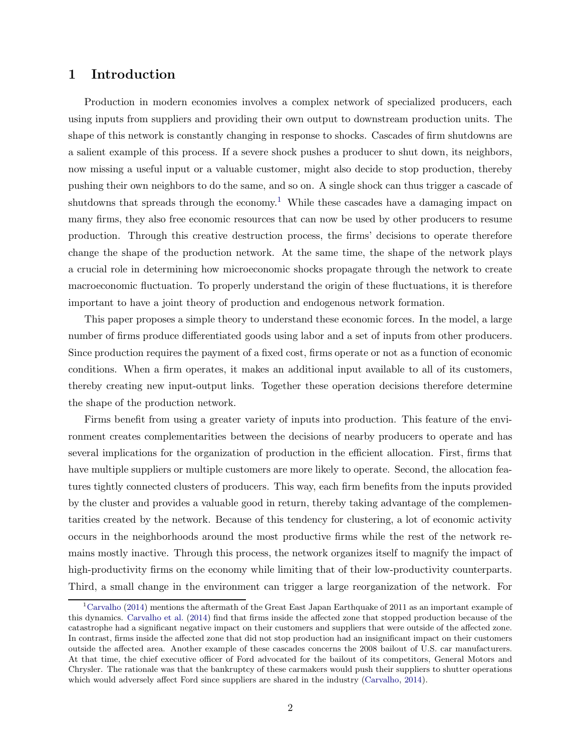# 1 Introduction

Production in modern economies involves a complex network of specialized producers, each using inputs from suppliers and providing their own output to downstream production units. The shape of this network is constantly changing in response to shocks. Cascades of firm shutdowns are a salient example of this process. If a severe shock pushes a producer to shut down, its neighbors, now missing a useful input or a valuable customer, might also decide to stop production, thereby pushing their own neighbors to do the same, and so on. A single shock can thus trigger a cascade of shutdowns that spreads through the economy.<sup>1</sup> While these cascades have a damaging impact on many firms, they also free economic resources that can now be used by other producers to resume production. Through this creative destruction process, the firms' decisions to operate therefore change the shape of the production network. At the same time, the shape of the network plays a crucial role in determining how microeconomic shocks propagate through the network to create macroeconomic fluctuation. To properly understand the origin of these fluctuations, it is therefore important to have a joint theory of production and endogenous network formation.

This paper proposes a simple theory to understand these economic forces. In the model, a large number of firms produce differentiated goods using labor and a set of inputs from other producers. Since production requires the payment of a fixed cost, firms operate or not as a function of economic conditions. When a firm operates, it makes an additional input available to all of its customers, thereby creating new input-output links. Together these operation decisions therefore determine the shape of the production network.

Firms benefit from using a greater variety of inputs into production. This feature of the environment creates complementarities between the decisions of nearby producers to operate and has several implications for the organization of production in the efficient allocation. First, firms that have multiple suppliers or multiple customers are more likely to operate. Second, the allocation features tightly connected clusters of producers. This way, each firm benefits from the inputs provided by the cluster and provides a valuable good in return, thereby taking advantage of the complementarities created by the network. Because of this tendency for clustering, a lot of economic activity occurs in the neighborhoods around the most productive firms while the rest of the network remains mostly inactive. Through this process, the network organizes itself to magnify the impact of high-productivity firms on the economy while limiting that of their low-productivity counterparts. Third, a small change in the environment can trigger a large reorganization of the network. For

<sup>&</sup>lt;sup>1</sup>[Carvalho](#page-31-0) [\(2014](#page-31-0)) mentions the aftermath of the Great East Japan Earthquake of 2011 as an important example of this dynamics. [Carvalho et al.](#page-30-0) [\(2014](#page-30-0)) find that firms inside the affected zone that stopped production because of the catastrophe had a significant negative impact on their customers and suppliers that were outside of the affected zone. In contrast, firms inside the affected zone that did not stop production had an insignificant impact on their customers outside the affected area. Another example of these cascades concerns the 2008 bailout of U.S. car manufacturers. At that time, the chief executive officer of Ford advocated for the bailout of its competitors, General Motors and Chrysler. The rationale was that the bankruptcy of these carmakers would push their suppliers to shutter operations which would adversely affect Ford since suppliers are shared in the industry [\(Carvalho,](#page-31-0) [2014\)](#page-31-0).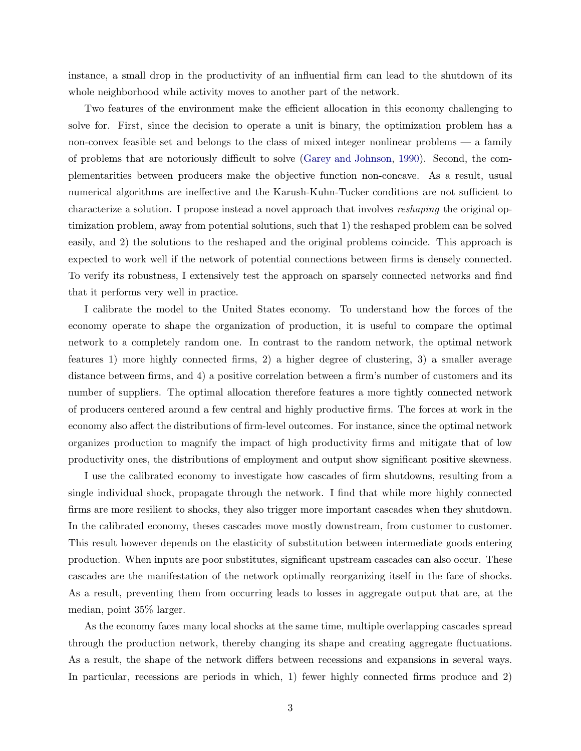instance, a small drop in the productivity of an influential firm can lead to the shutdown of its whole neighborhood while activity moves to another part of the network.

Two features of the environment make the efficient allocation in this economy challenging to solve for. First, since the decision to operate a unit is binary, the optimization problem has a non-convex feasible set and belongs to the class of mixed integer nonlinear problems — a family of problems that are notoriously difficult to solve [\(Garey and Johnson,](#page-31-1) [1990](#page-31-1)). Second, the complementarities between producers make the objective function non-concave. As a result, usual numerical algorithms are ineffective and the Karush-Kuhn-Tucker conditions are not sufficient to characterize a solution. I propose instead a novel approach that involves reshaping the original optimization problem, away from potential solutions, such that 1) the reshaped problem can be solved easily, and 2) the solutions to the reshaped and the original problems coincide. This approach is expected to work well if the network of potential connections between firms is densely connected. To verify its robustness, I extensively test the approach on sparsely connected networks and find that it performs very well in practice.

I calibrate the model to the United States economy. To understand how the forces of the economy operate to shape the organization of production, it is useful to compare the optimal network to a completely random one. In contrast to the random network, the optimal network features 1) more highly connected firms, 2) a higher degree of clustering, 3) a smaller average distance between firms, and 4) a positive correlation between a firm's number of customers and its number of suppliers. The optimal allocation therefore features a more tightly connected network of producers centered around a few central and highly productive firms. The forces at work in the economy also affect the distributions of firm-level outcomes. For instance, since the optimal network organizes production to magnify the impact of high productivity firms and mitigate that of low productivity ones, the distributions of employment and output show significant positive skewness.

I use the calibrated economy to investigate how cascades of firm shutdowns, resulting from a single individual shock, propagate through the network. I find that while more highly connected firms are more resilient to shocks, they also trigger more important cascades when they shutdown. In the calibrated economy, theses cascades move mostly downstream, from customer to customer. This result however depends on the elasticity of substitution between intermediate goods entering production. When inputs are poor substitutes, significant upstream cascades can also occur. These cascades are the manifestation of the network optimally reorganizing itself in the face of shocks. As a result, preventing them from occurring leads to losses in aggregate output that are, at the median, point 35% larger.

As the economy faces many local shocks at the same time, multiple overlapping cascades spread through the production network, thereby changing its shape and creating aggregate fluctuations. As a result, the shape of the network differs between recessions and expansions in several ways. In particular, recessions are periods in which, 1) fewer highly connected firms produce and 2)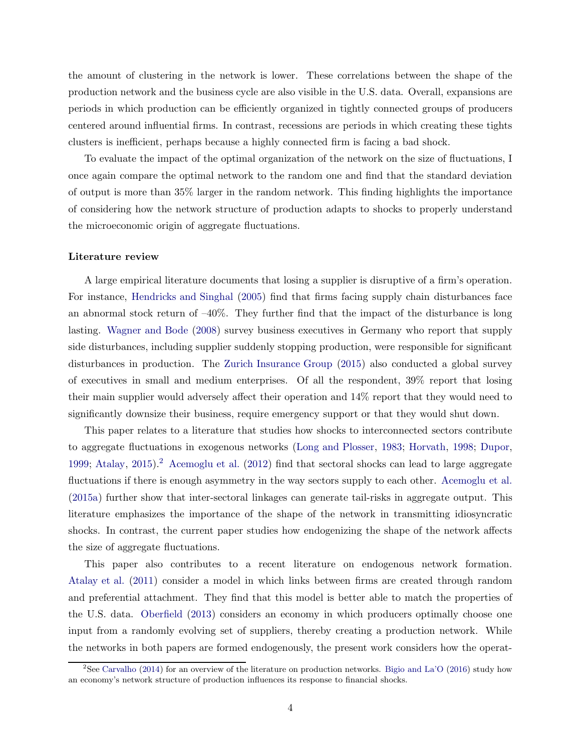the amount of clustering in the network is lower. These correlations between the shape of the production network and the business cycle are also visible in the U.S. data. Overall, expansions are periods in which production can be efficiently organized in tightly connected groups of producers centered around influential firms. In contrast, recessions are periods in which creating these tights clusters is inefficient, perhaps because a highly connected firm is facing a bad shock.

To evaluate the impact of the optimal organization of the network on the size of fluctuations, I once again compare the optimal network to the random one and find that the standard deviation of output is more than 35% larger in the random network. This finding highlights the importance of considering how the network structure of production adapts to shocks to properly understand the microeconomic origin of aggregate fluctuations.

#### Literature review

A large empirical literature documents that losing a supplier is disruptive of a firm's operation. For instance, [Hendricks and Singhal](#page-31-2) [\(2005](#page-31-2)) find that firms facing supply chain disturbances face an abnormal stock return of –40%. They further find that the impact of the disturbance is long lasting. [Wagner and Bode](#page-32-0) [\(2008](#page-32-0)) survey business executives in Germany who report that supply side disturbances, including supplier suddenly stopping production, were responsible for significant disturbances in production. The [Zurich Insurance Group](#page-32-1) [\(2015](#page-32-1)) also conducted a global survey of executives in small and medium enterprises. Of all the respondent, 39% report that losing their main supplier would adversely affect their operation and 14% report that they would need to significantly downsize their business, require emergency support or that they would shut down.

This paper relates to a literature that studies how shocks to interconnected sectors contribute to aggregate fluctuations in exogenous networks [\(Long and Plosser,](#page-32-2) [1983;](#page-32-2) [Horvath](#page-31-3), [1998](#page-31-3); [Dupor](#page-31-4), [1999;](#page-31-4) [Atalay](#page-30-1), [2015\)](#page-30-1).<sup>2</sup> [Acemoglu et al.](#page-29-0) [\(2012](#page-29-0)) find that sectoral shocks can lead to large aggregate fluctuations if there is enough asymmetry in the way sectors supply to each other. [Acemoglu et al.](#page-30-2) [\(2015a](#page-30-2)) further show that inter-sectoral linkages can generate tail-risks in aggregate output. This literature emphasizes the importance of the shape of the network in transmitting idiosyncratic shocks. In contrast, the current paper studies how endogenizing the shape of the network affects the size of aggregate fluctuations.

This paper also contributes to a recent literature on endogenous network formation. [Atalay et al.](#page-30-3) [\(2011](#page-30-3)) consider a model in which links between firms are created through random and preferential attachment. They find that this model is better able to match the properties of the U.S. data. [Oberfield](#page-32-3) [\(2013](#page-32-3)) considers an economy in which producers optimally choose one input from a randomly evolving set of suppliers, thereby creating a production network. While the networks in both papers are formed endogenously, the present work considers how the operat-

<sup>&</sup>lt;sup>2</sup>See [Carvalho](#page-31-0) [\(2014](#page-31-0)) for an overview of the literature on production networks. [Bigio and La'O](#page-30-4) [\(2016](#page-30-4)) study how an economy's network structure of production influences its response to financial shocks.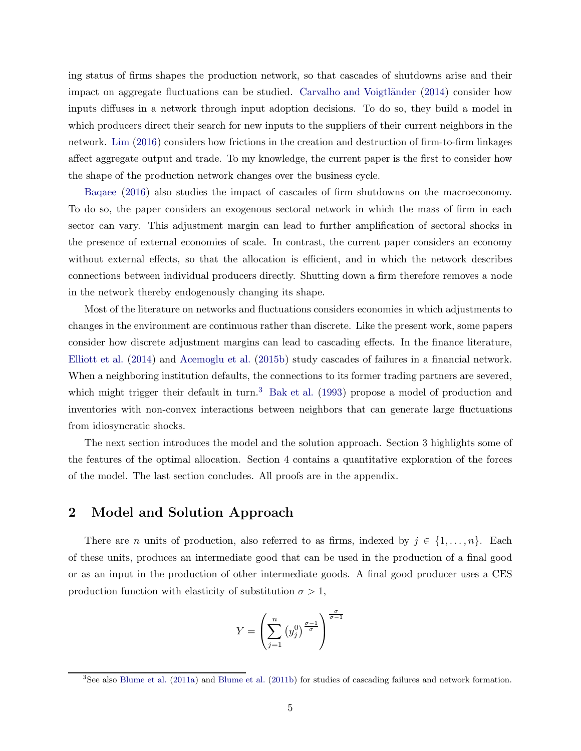ing status of firms shapes the production network, so that cascades of shutdowns arise and their impact on aggregate fluctuations can be studied. Carvalho and Voigtländer  $(2014)$  $(2014)$  consider how inputs diffuses in a network through input adoption decisions. To do so, they build a model in which producers direct their search for new inputs to the suppliers of their current neighbors in the network. [Lim](#page-32-4) [\(2016](#page-32-4)) considers how frictions in the creation and destruction of firm-to-firm linkages affect aggregate output and trade. To my knowledge, the current paper is the first to consider how the shape of the production network changes over the business cycle.

[Baqaee](#page-30-5) [\(2016\)](#page-30-5) also studies the impact of cascades of firm shutdowns on the macroeconomy. To do so, the paper considers an exogenous sectoral network in which the mass of firm in each sector can vary. This adjustment margin can lead to further amplification of sectoral shocks in the presence of external economies of scale. In contrast, the current paper considers an economy without external effects, so that the allocation is efficient, and in which the network describes connections between individual producers directly. Shutting down a firm therefore removes a node in the network thereby endogenously changing its shape.

Most of the literature on networks and fluctuations considers economies in which adjustments to changes in the environment are continuous rather than discrete. Like the present work, some papers consider how discrete adjustment margins can lead to cascading effects. In the finance literature, [Elliott et al.](#page-31-6) [\(2014](#page-31-6)) and [Acemoglu et al.](#page-30-6) [\(2015b](#page-30-6)) study cascades of failures in a financial network. When a neighboring institution defaults, the connections to its former trading partners are severed, which might trigger their default in turn.<sup>3</sup> [Bak et al.](#page-30-7) [\(1993](#page-30-7)) propose a model of production and inventories with non-convex interactions between neighbors that can generate large fluctuations from idiosyncratic shocks.

The next section introduces the model and the solution approach. Section 3 highlights some of the features of the optimal allocation. Section 4 contains a quantitative exploration of the forces of the model. The last section concludes. All proofs are in the appendix.

# 2 Model and Solution Approach

There are *n* units of production, also referred to as firms, indexed by  $j \in \{1, \ldots, n\}$ . Each of these units, produces an intermediate good that can be used in the production of a final good or as an input in the production of other intermediate goods. A final good producer uses a CES production function with elasticity of substitution  $\sigma > 1$ ,

$$
Y = \left(\sum_{j=1}^{n} \left(y_j^0\right)^{\frac{\sigma-1}{\sigma}}\right)^{\frac{\sigma}{\sigma-1}}
$$

 $3$ See also [Blume et al.](#page-30-9) [\(2011a](#page-30-8)) and Blume et al. [\(2011b\)](#page-30-9) for studies of cascading failures and network formation.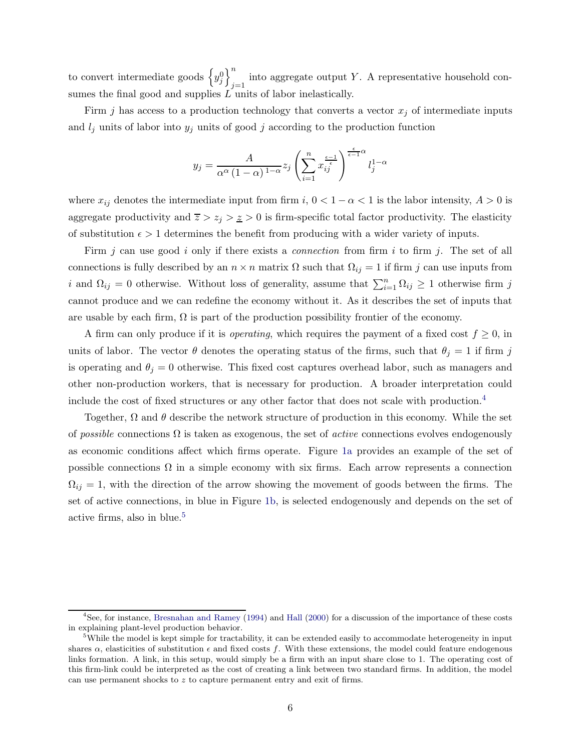to convert intermediate goods  $\left\{y_j^0\right\}_{j=1}^n$ into aggregate output Y. A representative household consumes the final good and supplies  $L$  units of labor inelastically.

Firm j has access to a production technology that converts a vector  $x_j$  of intermediate inputs and  $l_j$  units of labor into  $y_j$  units of good j according to the production function

$$
y_j = \frac{A}{\alpha^{\alpha} (1 - \alpha)^{1 - \alpha}} z_j \left( \sum_{i=1}^n x_{ij}^{\frac{\epsilon - 1}{\epsilon}} \right)^{\frac{\epsilon}{\epsilon - 1} \alpha} l_j^{1 - \alpha}
$$

where  $x_{ij}$  denotes the intermediate input from firm i,  $0 < 1 - \alpha < 1$  is the labor intensity,  $A > 0$  is aggregate productivity and  $\overline{z} > z_j > \underline{z} > 0$  is firm-specific total factor productivity. The elasticity of substitution  $\epsilon > 1$  determines the benefit from producing with a wider variety of inputs.

Firm j can use good i only if there exists a *connection* from firm i to firm j. The set of all connections is fully described by an  $n \times n$  matrix  $\Omega$  such that  $\Omega_{ij} = 1$  if firm j can use inputs from i and  $\Omega_{ij} = 0$  otherwise. Without loss of generality, assume that  $\sum_{i=1}^{n} \Omega_{ij} \geq 1$  otherwise firm j cannot produce and we can redefine the economy without it. As it describes the set of inputs that are usable by each firm,  $\Omega$  is part of the production possibility frontier of the economy.

A firm can only produce if it is *operating*, which requires the payment of a fixed cost  $f \geq 0$ , in units of labor. The vector  $\theta$  denotes the operating status of the firms, such that  $\theta_j = 1$  if firm j is operating and  $\theta_j = 0$  otherwise. This fixed cost captures overhead labor, such as managers and other non-production workers, that is necessary for production. A broader interpretation could include the cost of fixed structures or any other factor that does not scale with production.<sup>4</sup>

Together,  $\Omega$  and  $\theta$  describe the network structure of production in this economy. While the set of possible connections  $\Omega$  is taken as exogenous, the set of *active* connections evolves endogenously as economic conditions affect which firms operate. Figure [1a](#page-6-0) provides an example of the set of possible connections  $\Omega$  in a simple economy with six firms. Each arrow represents a connection  $\Omega_{ij} = 1$ , with the direction of the arrow showing the movement of goods between the firms. The set of active connections, in blue in Figure [1b,](#page-6-1) is selected endogenously and depends on the set of active firms, also in blue.<sup>5</sup>

 ${}^{4}$ See, for instance, [Bresnahan and Ramey](#page-30-10) [\(1994](#page-30-10)) and [Hall](#page-31-7) [\(2000](#page-31-7)) for a discussion of the importance of these costs in explaining plant-level production behavior.

<sup>&</sup>lt;sup>5</sup>While the model is kept simple for tractability, it can be extended easily to accommodate heterogeneity in input shares  $\alpha$ , elasticities of substitution  $\epsilon$  and fixed costs f. With these extensions, the model could feature endogenous links formation. A link, in this setup, would simply be a firm with an input share close to 1. The operating cost of this firm-link could be interpreted as the cost of creating a link between two standard firms. In addition, the model can use permanent shocks to z to capture permanent entry and exit of firms.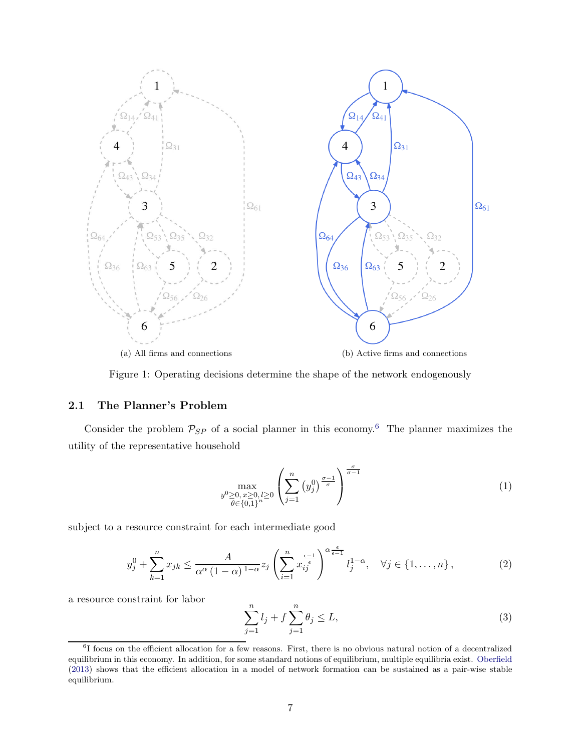<span id="page-6-0"></span>

Figure 1: Operating decisions determine the shape of the network endogenously

### 2.1 The Planner's Problem

Consider the problem  $P_{SP}$  of a social planner in this economy.<sup>6</sup> The planner maximizes the utility of the representative household

<span id="page-6-3"></span><span id="page-6-1"></span>
$$
\max_{\substack{y^0 \ge 0, \, x \ge 0, \, l \ge 0 \\ \theta \in \{0,1\}^n}} \left( \sum_{j=1}^n \left( y_j^0 \right)^{\frac{\sigma - 1}{\sigma}} \right)^{\frac{\sigma}{\sigma - 1}} \tag{1}
$$

subject to a resource constraint for each intermediate good

<span id="page-6-2"></span>
$$
y_j^0 + \sum_{k=1}^n x_{jk} \le \frac{A}{\alpha^{\alpha} \left(1 - \alpha\right)^{1 - \alpha}} z_j \left(\sum_{i=1}^n x_{ij}^{\frac{\epsilon - 1}{\epsilon}}\right)^{\alpha \frac{\epsilon}{\epsilon - 1}} l_j^{1 - \alpha}, \quad \forall j \in \{1, \dots, n\},\tag{2}
$$

a resource constraint for labor

<span id="page-6-4"></span>
$$
\sum_{j=1}^{n} l_j + f \sum_{j=1}^{n} \theta_j \le L,
$$
\n(3)

<sup>&</sup>lt;sup>6</sup>I focus on the efficient allocation for a few reasons. First, there is no obvious natural notion of a decentralized equilibrium in this economy. In addition, for some standard notions of equilibrium, multiple equilibria exist. [Oberfield](#page-32-3) [\(2013\)](#page-32-3) shows that the efficient allocation in a model of network formation can be sustained as a pair-wise stable equilibrium.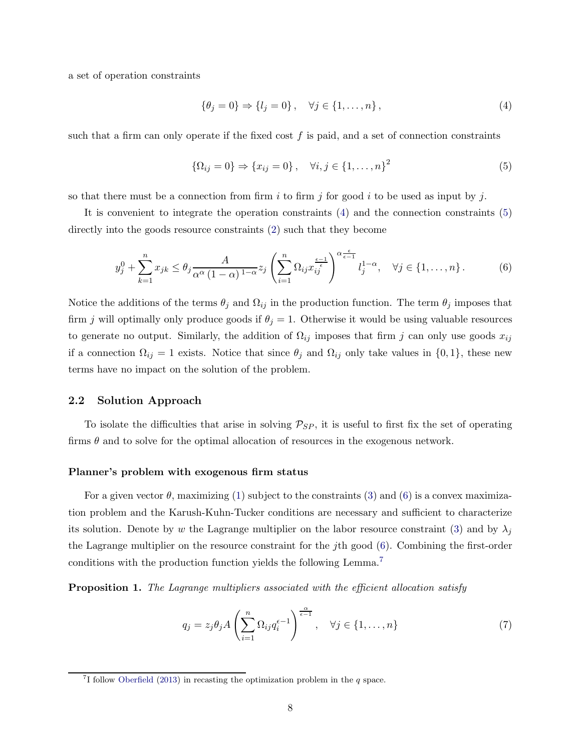a set of operation constraints

<span id="page-7-0"></span>
$$
\{\theta_j = 0\} \Rightarrow \{l_j = 0\}, \quad \forall j \in \{1, ..., n\},
$$
\n(4)

such that a firm can only operate if the fixed cost  $f$  is paid, and a set of connection constraints

<span id="page-7-1"></span>
$$
\{\Omega_{ij} = 0\} \Rightarrow \{x_{ij} = 0\}, \quad \forall i, j \in \{1, ..., n\}^2
$$
 (5)

so that there must be a connection from firm i to firm j for good i to be used as input by j.

It is convenient to integrate the operation constraints [\(4\)](#page-7-0) and the connection constraints [\(5\)](#page-7-1) directly into the goods resource constraints [\(2\)](#page-6-2) such that they become

<span id="page-7-2"></span>
$$
y_j^0 + \sum_{k=1}^n x_{jk} \le \theta_j \frac{A}{\alpha^{\alpha} (1 - \alpha)^{1 - \alpha}} z_j \left( \sum_{i=1}^n \Omega_{ij} x_{ij}^{\frac{\epsilon - 1}{\epsilon}} \right)^{\alpha \frac{\epsilon}{\epsilon - 1}} l_j^{1 - \alpha}, \quad \forall j \in \{1, \dots, n\}.
$$
 (6)

Notice the additions of the terms  $\theta_j$  and  $\Omega_{ij}$  in the production function. The term  $\theta_j$  imposes that firm j will optimally only produce goods if  $\theta_j = 1$ . Otherwise it would be using valuable resources to generate no output. Similarly, the addition of  $\Omega_{ij}$  imposes that firm j can only use goods  $x_{ij}$ if a connection  $\Omega_{ij} = 1$  exists. Notice that since  $\theta_j$  and  $\Omega_{ij}$  only take values in  $\{0, 1\}$ , these new terms have no impact on the solution of the problem.

#### 2.2 Solution Approach

To isolate the difficulties that arise in solving  $P_{SP}$ , it is useful to first fix the set of operating firms  $\theta$  and to solve for the optimal allocation of resources in the exogenous network.

#### Planner's problem with exogenous firm status

For a given vector  $\theta$ , maximizing [\(1\)](#page-6-3) subject to the constraints [\(3\)](#page-6-4) and [\(6\)](#page-7-2) is a convex maximization problem and the Karush-Kuhn-Tucker conditions are necessary and sufficient to characterize its solution. Denote by w the Lagrange multiplier on the labor resource constraint [\(3\)](#page-6-4) and by  $\lambda_j$ the Lagrange multiplier on the resource constraint for the jth good [\(6\)](#page-7-2). Combining the first-order conditions with the production function yields the following Lemma.<sup>7</sup>

<span id="page-7-4"></span>**Proposition 1.** The Lagrange multipliers associated with the efficient allocation satisfy

<span id="page-7-3"></span>
$$
q_j = z_j \theta_j A \left( \sum_{i=1}^n \Omega_{ij} q_i^{\epsilon - 1} \right)^{\frac{\alpha}{\epsilon - 1}}, \quad \forall j \in \{1, \dots, n\}
$$
 (7)

<sup>&</sup>lt;sup>7</sup>I follow [Oberfield](#page-32-3) [\(2013\)](#page-32-3) in recasting the optimization problem in the  $q$  space.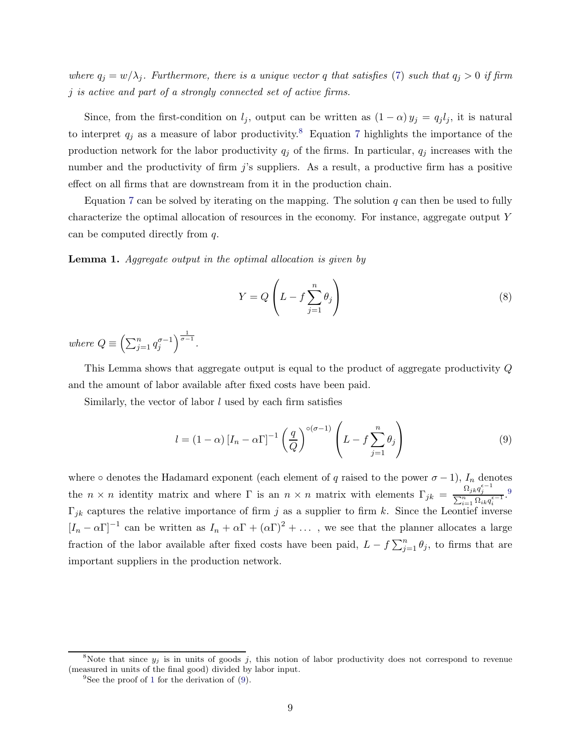where  $q_j = w/\lambda_j$ . Furthermore, there is a unique vector q that satisfies [\(7\)](#page-7-3) such that  $q_j > 0$  if firm j is active and part of a strongly connected set of active firms.

Since, from the first-condition on  $l_j$ , output can be written as  $(1 - \alpha) y_j = q_j l_j$ , it is natural to interpret  $q_j$  as a measure of labor productivity.<sup>8</sup> Equation [7](#page-7-3) highlights the importance of the production network for the labor productivity  $q_j$  of the firms. In particular,  $q_j$  increases with the number and the productivity of firm  $j$ 's suppliers. As a result, a productive firm has a positive effect on all firms that are downstream from it in the production chain.

Equation [7](#page-7-3) can be solved by iterating on the mapping. The solution  $q$  can then be used to fully characterize the optimal allocation of resources in the economy. For instance, aggregate output Y can be computed directly from q.

<span id="page-8-0"></span>Lemma 1. Aggregate output in the optimal allocation is given by

<span id="page-8-2"></span>
$$
Y = Q\left(L - f\sum_{j=1}^{n} \theta_j\right)
$$
\n(8)

where  $Q \equiv \left(\sum_{j=1}^n q_j^{\sigma-1}\right)^{\frac{1}{\sigma-1}}$ .

This Lemma shows that aggregate output is equal to the product of aggregate productivity Q and the amount of labor available after fixed costs have been paid.

Similarly, the vector of labor  $l$  used by each firm satisfies

<span id="page-8-1"></span>
$$
l = (1 - \alpha) \left[ I_n - \alpha \Gamma \right]^{-1} \left( \frac{q}{Q} \right)^{\circ (\sigma - 1)} \left( L - f \sum_{j=1}^n \theta_j \right)
$$
 (9)

where ∘ denotes the Hadamard exponent (each element of q raised to the power  $\sigma - 1$ ),  $I_n$  denotes the  $n \times n$  identity matrix and where  $\Gamma$  is an  $n \times n$  matrix with elements  $\Gamma_{jk} = \frac{\Omega_{jk}q_j^{\epsilon-1}}{\sum_{n=0}^{n} \Omega_{jk}q_j^{\epsilon-1}}$  $\sum$  $\frac{\sum_{i=1}^{M} Q_i k q_i}{n}$  $\Gamma_{ik}$  captures the relative importance of firm j as a supplier to firm k. Since the Leontief inverse  $[I_n - \alpha \Gamma]^{-1}$  can be written as  $I_n + \alpha \Gamma + (\alpha \Gamma)^2 + \dots$ , we see that the planner allocates a large fraction of the labor available after fixed costs have been paid,  $L - f \sum_{j=1}^{n} \theta_j$ , to firms that are important suppliers in the production network.

<sup>&</sup>lt;sup>8</sup>Note that since  $y_j$  is in units of goods j, this notion of labor productivity does not correspond to revenue (measured in units of the final good) divided by labor input.

<sup>&</sup>lt;sup>9</sup>See the proof of [1](#page-8-0) for the derivation of [\(9\)](#page-8-1).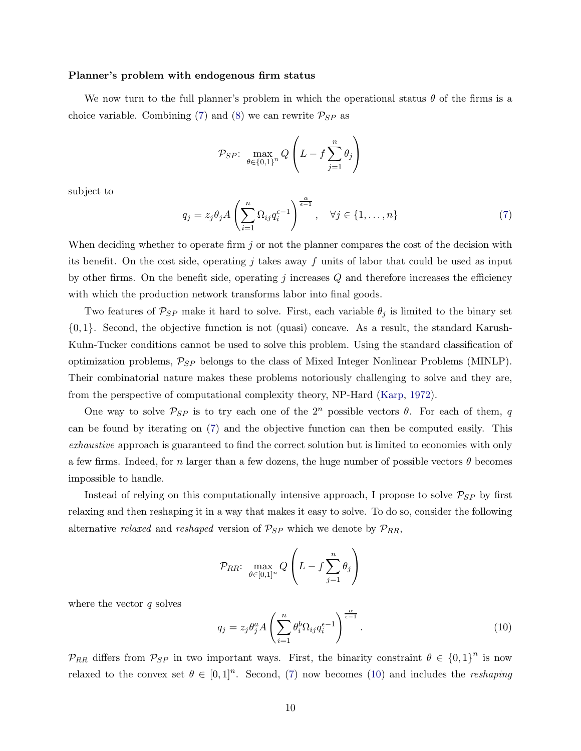#### Planner's problem with endogenous firm status

We now turn to the full planner's problem in which the operational status  $\theta$  of the firms is a choice variable. Combining [\(7\)](#page-7-3) and [\(8\)](#page-8-2) we can rewrite  $P_{SP}$  as

$$
\mathcal{P}_{SP}: \ \max_{\theta \in \{0,1\}^n} Q\left(L - f \sum_{j=1}^n \theta_j\right)
$$

subject to

$$
q_j = z_j \theta_j A \left( \sum_{i=1}^n \Omega_{ij} q_i^{\epsilon - 1} \right)^{\frac{\alpha}{\epsilon - 1}}, \quad \forall j \in \{1, \dots, n\}
$$
 (7)

When deciding whether to operate firm  $j$  or not the planner compares the cost of the decision with its benefit. On the cost side, operating j takes away f units of labor that could be used as input by other firms. On the benefit side, operating j increases  $Q$  and therefore increases the efficiency with which the production network transforms labor into final goods.

Two features of  $P_{SP}$  make it hard to solve. First, each variable  $\theta_j$  is limited to the binary set  $\{0,1\}$ . Second, the objective function is not (quasi) concave. As a result, the standard Karush-Kuhn-Tucker conditions cannot be used to solve this problem. Using the standard classification of optimization problems,  $P_{SP}$  belongs to the class of Mixed Integer Nonlinear Problems (MINLP). Their combinatorial nature makes these problems notoriously challenging to solve and they are, from the perspective of computational complexity theory, NP-Hard [\(Karp](#page-32-5), [1972\)](#page-32-5).

One way to solve  $P_{SP}$  is to try each one of the  $2<sup>n</sup>$  possible vectors  $\theta$ . For each of them, q can be found by iterating on [\(7\)](#page-7-3) and the objective function can then be computed easily. This exhaustive approach is guaranteed to find the correct solution but is limited to economies with only a few firms. Indeed, for n larger than a few dozens, the huge number of possible vectors  $\theta$  becomes impossible to handle.

Instead of relying on this computationally intensive approach, I propose to solve  $P_{SP}$  by first relaxing and then reshaping it in a way that makes it easy to solve. To do so, consider the following alternative relaxed and reshaped version of  $P_{SP}$  which we denote by  $P_{RR}$ ,

$$
\mathcal{P}_{RR}: \ \max_{\theta \in [0,1]^n} Q\left(L - f \sum_{j=1}^n \theta_j\right)
$$

where the vector  $q$  solves

<span id="page-9-0"></span>
$$
q_j = z_j \theta_j^a A \left( \sum_{i=1}^n \theta_i^b \Omega_{ij} q_i^{\epsilon - 1} \right)^{\frac{\alpha}{\epsilon - 1}}.
$$
\n(10)

 $\mathcal{P}_{RR}$  differs from  $\mathcal{P}_{SP}$  in two important ways. First, the binarity constraint  $\theta \in \{0,1\}^n$  is now relaxed to the convex set  $\theta \in [0,1]^n$ . Second, [\(7\)](#page-7-3) now becomes [\(10\)](#page-9-0) and includes the *reshaping*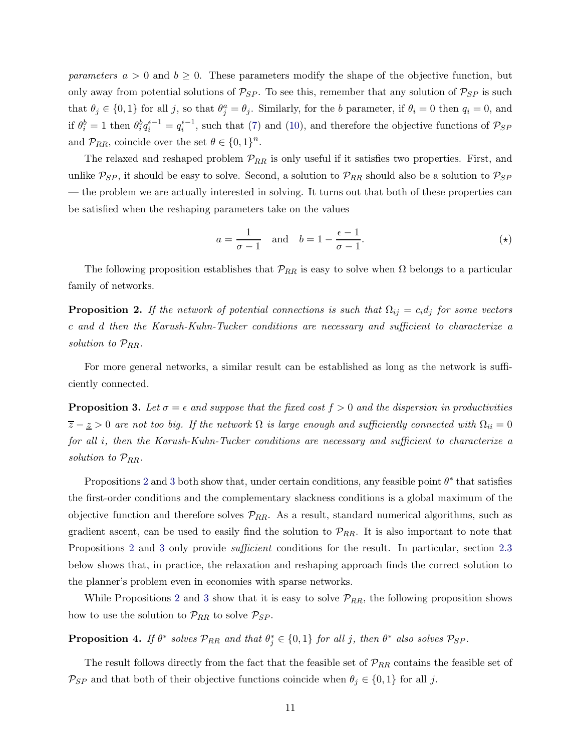parameters  $a > 0$  and  $b \ge 0$ . These parameters modify the shape of the objective function, but only away from potential solutions of  $P_{SP}$ . To see this, remember that any solution of  $P_{SP}$  is such that  $\theta_j \in \{0,1\}$  for all j, so that  $\theta_j^a = \theta_j$ . Similarly, for the b parameter, if  $\theta_i = 0$  then  $q_i = 0$ , and if  $\theta_i^b = 1$  then  $\theta_i^b q_i^{e-1} = q_i^{e-1}$ , such that [\(7\)](#page-7-3) and [\(10\)](#page-9-0), and therefore the objective functions of  $\mathcal{P}_{SP}$ and  $\mathcal{P}_{RR}$ , coincide over the set  $\theta \in \{0,1\}^n$ .

The relaxed and reshaped problem  $\mathcal{P}_{RR}$  is only useful if it satisfies two properties. First, and unlike  $P_{SP}$ , it should be easy to solve. Second, a solution to  $P_{RR}$  should also be a solution to  $P_{SP}$ — the problem we are actually interested in solving. It turns out that both of these properties can be satisfied when the reshaping parameters take on the values

<span id="page-10-3"></span>
$$
a = \frac{1}{\sigma - 1} \quad \text{and} \quad b = 1 - \frac{\epsilon - 1}{\sigma - 1}.\tag{(*)}
$$

The following proposition establishes that  $\mathcal{P}_{RR}$  is easy to solve when  $\Omega$  belongs to a particular family of networks.

<span id="page-10-0"></span>**Proposition 2.** If the network of potential connections is such that  $\Omega_{ij} = c_i d_j$  for some vectors c and d then the Karush-Kuhn-Tucker conditions are necessary and sufficient to characterize a solution to  $\mathcal{P}_{RR}$ .

For more general networks, a similar result can be established as long as the network is sufficiently connected.

<span id="page-10-1"></span>**Proposition 3.** Let  $\sigma = \epsilon$  and suppose that the fixed cost  $f > 0$  and the dispersion in productivities  $\overline{z} - \underline{z} > 0$  are not too big. If the network  $\Omega$  is large enough and sufficiently connected with  $\Omega_{ii} = 0$ for all i, then the Karush-Kuhn-Tucker conditions are necessary and sufficient to characterize a solution to  $\mathcal{P}_{RR}$ .

Propositions [2](#page-10-0) and [3](#page-10-1) both show that, under certain conditions, any feasible point  $\theta^*$  that satisfies the first-order conditions and the complementary slackness conditions is a global maximum of the objective function and therefore solves  $\mathcal{P}_{RR}$ . As a result, standard numerical algorithms, such as gradient ascent, can be used to easily find the solution to  $\mathcal{P}_{RR}$ . It is also important to note that Propositions [2](#page-10-0) and [3](#page-10-1) only provide sufficient conditions for the result. In particular, section [2.3](#page-14-0) below shows that, in practice, the relaxation and reshaping approach finds the correct solution to the planner's problem even in economies with sparse networks.

While Propositions [2](#page-10-0) and [3](#page-10-1) show that it is easy to solve  $\mathcal{P}_{RR}$ , the following proposition shows how to use the solution to  $\mathcal{P}_{RR}$  to solve  $\mathcal{P}_{SP}$ .

<span id="page-10-2"></span>**Proposition 4.** If  $\theta^*$  solves  $\mathcal{P}_{RR}$  and that  $\theta_j^* \in \{0,1\}$  for all j, then  $\theta^*$  also solves  $\mathcal{P}_{SP}$ .

The result follows directly from the fact that the feasible set of  $\mathcal{P}_{RR}$  contains the feasible set of  $\mathcal{P}_{SP}$  and that both of their objective functions coincide when  $\theta_j \in \{0,1\}$  for all j.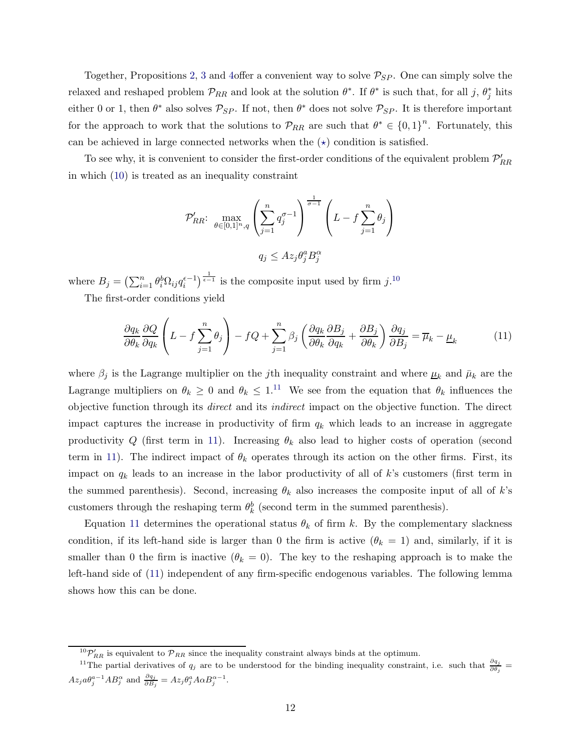Together, Propositions [2,](#page-10-0) [3](#page-10-1) and [4o](#page-10-2)ffer a convenient way to solve  $P_{SP}$ . One can simply solve the relaxed and reshaped problem  $\mathcal{P}_{RR}$  and look at the solution  $\theta^*$ . If  $\theta^*$  is such that, for all j,  $\theta_j^*$  hits either 0 or 1, then  $\theta^*$  also solves  $\mathcal{P}_{SP}$ . If not, then  $\theta^*$  does not solve  $\mathcal{P}_{SP}$ . It is therefore important for the approach to work that the solutions to  $\mathcal{P}_{RR}$  are such that  $\theta^* \in \{0,1\}^n$ . Fortunately, this can be achieved in large connected networks when the  $(\star)$  condition is satisfied.

To see why, it is convenient to consider the first-order conditions of the equivalent problem  $\mathcal{P}_{RR}'$ in which [\(10\)](#page-9-0) is treated as an inequality constraint

$$
\mathcal{P}_{RR}^{\prime} : \max_{\theta \in [0,1]^{n}, q} \left( \sum_{j=1}^{n} q_j^{\sigma - 1} \right)^{\frac{1}{\sigma - 1}} \left( L - f \sum_{j=1}^{n} \theta_j \right)
$$

$$
q_j \leq Az_j \theta_j^a B_j^{\alpha}
$$

where  $B_j = \left(\sum_{i=1}^n \theta_i^b \Omega_{ij} q_i^{\epsilon-1}\right)^{\frac{1}{\epsilon-1}}$  is the composite input used by firm  $j$ .<sup>10</sup>

The first-order conditions yield

<span id="page-11-0"></span>
$$
\frac{\partial q_k}{\partial \theta_k} \frac{\partial Q}{\partial q_k} \left( L - f \sum_{j=1}^n \theta_j \right) - f Q + \sum_{j=1}^n \beta_j \left( \frac{\partial q_k}{\partial \theta_k} \frac{\partial B_j}{\partial q_k} + \frac{\partial B_j}{\partial \theta_k} \right) \frac{\partial q_j}{\partial B_j} = \overline{\mu}_k - \underline{\mu}_k \tag{11}
$$

where  $\beta_j$  is the Lagrange multiplier on the *j*th inequality constraint and where  $\mu_k$  and  $\bar{\mu}_k$  are the Lagrange multipliers on  $\theta_k \geq 0$  and  $\theta_k \leq 1$ .<sup>11</sup> We see from the equation that  $\theta_k$  influences the objective function through its direct and its indirect impact on the objective function. The direct impact captures the increase in productivity of firm  $q_k$  which leads to an increase in aggregate productivity Q (first term in [11\)](#page-11-0). Increasing  $\theta_k$  also lead to higher costs of operation (second term in [11\)](#page-11-0). The indirect impact of  $\theta_k$  operates through its action on the other firms. First, its impact on  $q_k$  leads to an increase in the labor productivity of all of k's customers (first term in the summed parenthesis). Second, increasing  $\theta_k$  also increases the composite input of all of k's customers through the reshaping term  $\theta_k^b$  (second term in the summed parenthesis).

Equation [11](#page-11-0) determines the operational status  $\theta_k$  of firm k. By the complementary slackness condition, if its left-hand side is larger than 0 the firm is active  $(\theta_k = 1)$  and, similarly, if it is smaller than 0 the firm is inactive  $(\theta_k = 0)$ . The key to the reshaping approach is to make the left-hand side of [\(11\)](#page-11-0) independent of any firm-specific endogenous variables. The following lemma shows how this can be done.

 ${}^{10}P'_{RR}$  is equivalent to  $\mathcal{P}_{RR}$  since the inequality constraint always binds at the optimum.

<sup>&</sup>lt;sup>11</sup>The partial derivatives of  $q_j$  are to be understood for the binding inequality constraint, i.e. such that  $\frac{\partial q_j}{\partial \theta_j}$  $Az_j a \theta_j^{a-1} AB_j^{\alpha}$  and  $\frac{\partial q_j}{\partial B_j} = Az_j \theta_j^a A \alpha B_j^{\alpha-1}$ .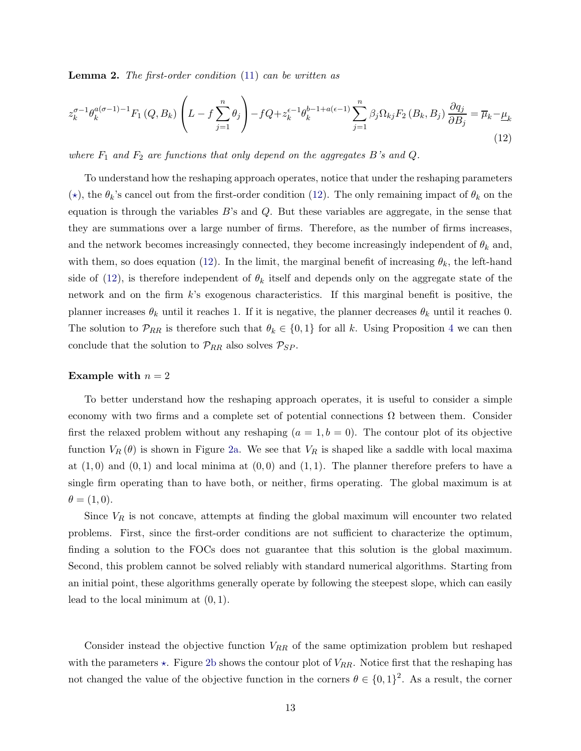<span id="page-12-1"></span>**Lemma 2.** The first-order condition [\(11\)](#page-11-0) can be written as

<span id="page-12-0"></span>
$$
z_k^{\sigma-1}\theta_k^{a(\sigma-1)-1}F_1(Q, B_k)\left(L-f\sum_{j=1}^n\theta_j\right)-fQ+z_k^{\epsilon-1}\theta_k^{b-1+a(\epsilon-1)}\sum_{j=1}^n\beta_j\Omega_{kj}F_2(B_k, B_j)\frac{\partial q_j}{\partial B_j}=\overline{\mu}_k-\underline{\mu}_k\tag{12}
$$

where  $F_1$  and  $F_2$  are functions that only depend on the aggregates B's and Q.

To understand how the reshaping approach operates, notice that under the reshaping parameters ( $\star$ ), the  $\theta_k$ 's cancel out from the first-order condition [\(12\)](#page-12-0). The only remaining impact of  $\theta_k$  on the equation is through the variables  $B$ 's and  $Q$ . But these variables are aggregate, in the sense that they are summations over a large number of firms. Therefore, as the number of firms increases, and the network becomes increasingly connected, they become increasingly independent of  $\theta_k$  and, with them, so does equation [\(12\)](#page-12-0). In the limit, the marginal benefit of increasing  $\theta_k$ , the left-hand side of [\(12\)](#page-12-0), is therefore independent of  $\theta_k$  itself and depends only on the aggregate state of the network and on the firm  $k$ 's exogenous characteristics. If this marginal benefit is positive, the planner increases  $\theta_k$  until it reaches 1. If it is negative, the planner decreases  $\theta_k$  until it reaches 0. The solution to  $\mathcal{P}_{RR}$  is therefore such that  $\theta_k \in \{0,1\}$  for all k. Using Proposition [4](#page-10-2) we can then conclude that the solution to  $\mathcal{P}_{RR}$  also solves  $\mathcal{P}_{SP}$ .

#### Example with  $n = 2$

To better understand how the reshaping approach operates, it is useful to consider a simple economy with two firms and a complete set of potential connections  $\Omega$  between them. Consider first the relaxed problem without any reshaping  $(a = 1, b = 0)$ . The contour plot of its objective function  $V_R(\theta)$  is shown in Figure [2a.](#page-13-0) We see that  $V_R$  is shaped like a saddle with local maxima at  $(1,0)$  and  $(0,1)$  and local minima at  $(0,0)$  and  $(1,1)$ . The planner therefore prefers to have a single firm operating than to have both, or neither, firms operating. The global maximum is at  $\theta = (1, 0).$ 

Since  $V_R$  is not concave, attempts at finding the global maximum will encounter two related problems. First, since the first-order conditions are not sufficient to characterize the optimum, finding a solution to the FOCs does not guarantee that this solution is the global maximum. Second, this problem cannot be solved reliably with standard numerical algorithms. Starting from an initial point, these algorithms generally operate by following the steepest slope, which can easily lead to the local minimum at  $(0, 1)$ .

Consider instead the objective function  $V_{RR}$  of the same optimization problem but reshaped with the parameters  $\star$ . Figure [2b](#page-13-1) shows the contour plot of  $V_{RR}$ . Notice first that the reshaping has not changed the value of the objective function in the corners  $\theta \in \{0,1\}^2$ . As a result, the corner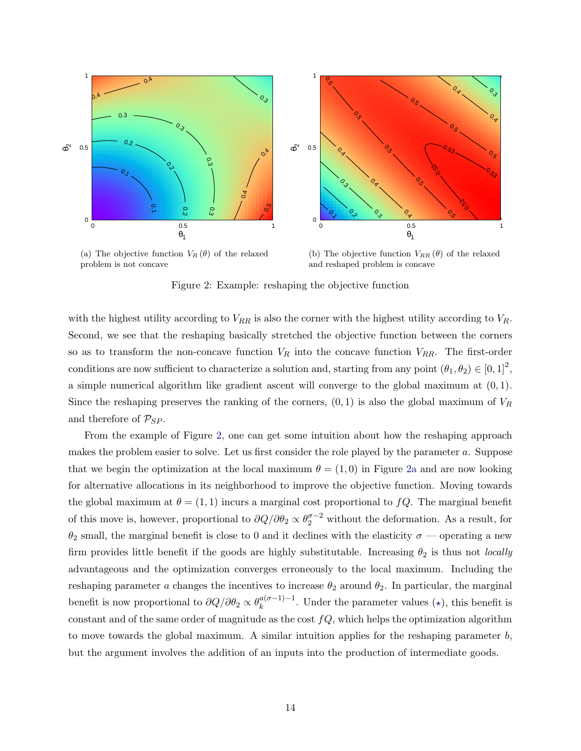<span id="page-13-2"></span><span id="page-13-0"></span>

(a) The objective function  $V_R(\theta)$  of the relaxed problem is not concave

<span id="page-13-1"></span>(b) The objective function  $V_{RR}(\theta)$  of the relaxed and reshaped problem is concave

Figure 2: Example: reshaping the objective function

with the highest utility according to  $V_{RR}$  is also the corner with the highest utility according to  $V_{R}$ . Second, we see that the reshaping basically stretched the objective function between the corners so as to transform the non-concave function  $V_R$  into the concave function  $V_{RR}$ . The first-order conditions are now sufficient to characterize a solution and, starting from any point  $(\theta_1, \theta_2) \in [0, 1]^2$ , a simple numerical algorithm like gradient ascent will converge to the global maximum at  $(0, 1)$ . Since the reshaping preserves the ranking of the corners,  $(0, 1)$  is also the global maximum of  $V_R$ and therefore of  $\mathcal{P}_{SP}$ .

From the example of Figure [2,](#page-13-2) one can get some intuition about how the reshaping approach makes the problem easier to solve. Let us first consider the role played by the parameter a. Suppose that we begin the optimization at the local maximum  $\theta = (1,0)$  in Figure [2a](#page-13-0) and are now looking for alternative allocations in its neighborhood to improve the objective function. Moving towards the global maximum at  $\theta = (1, 1)$  incurs a marginal cost proportional to  $fQ$ . The marginal benefit of this move is, however, proportional to  $\partial Q/\partial \theta_2 \propto \theta_2^{\sigma-2}$  without the deformation. As a result, for  $\theta_2$  small, the marginal benefit is close to 0 and it declines with the elasticity  $\sigma$  — operating a new firm provides little benefit if the goods are highly substitutable. Increasing  $\theta_2$  is thus not *locally* advantageous and the optimization converges erroneously to the local maximum. Including the reshaping parameter a changes the incentives to increase  $\theta_2$  around  $\theta_2$ . In particular, the marginal benefit is now proportional to  $\partial Q/\partial \theta_2 \propto \theta_k^{a(\sigma-1)-1}$  $\binom{a}{k}$ . Under the parameter values ( $\star$ ), this benefit is constant and of the same order of magnitude as the cost  $fQ$ , which helps the optimization algorithm to move towards the global maximum. A similar intuition applies for the reshaping parameter  $b$ , but the argument involves the addition of an inputs into the production of intermediate goods.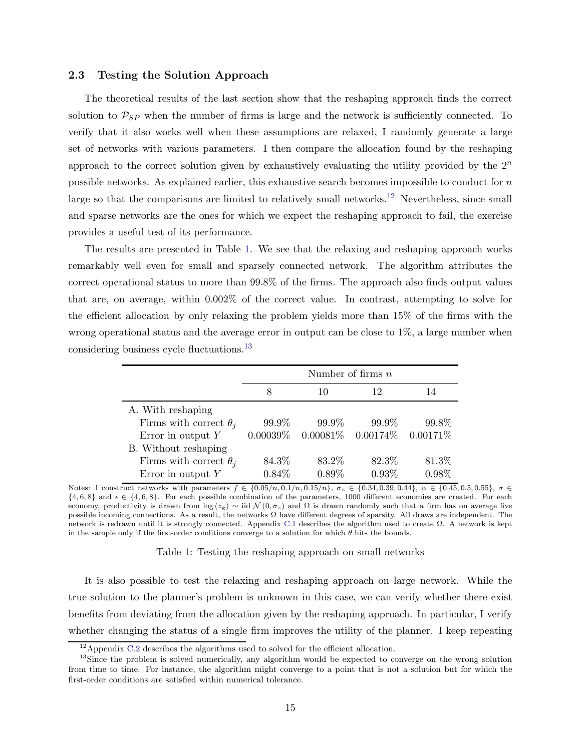#### <span id="page-14-0"></span>2.3 Testing the Solution Approach

The theoretical results of the last section show that the reshaping approach finds the correct solution to  $P_{SP}$  when the number of firms is large and the network is sufficiently connected. To verify that it also works well when these assumptions are relaxed, I randomly generate a large set of networks with various parameters. I then compare the allocation found by the reshaping approach to the correct solution given by exhaustively evaluating the utility provided by the  $2^n$ possible networks. As explained earlier, this exhaustive search becomes impossible to conduct for  $n$ large so that the comparisons are limited to relatively small networks.<sup>12</sup> Nevertheless, since small and sparse networks are the ones for which we expect the reshaping approach to fail, the exercise provides a useful test of its performance.

The results are presented in Table [1.](#page-14-1) We see that the relaxing and reshaping approach works remarkably well even for small and sparsely connected network. The algorithm attributes the correct operational status to more than 99.8% of the firms. The approach also finds output values that are, on average, within 0.002% of the correct value. In contrast, attempting to solve for the efficient allocation by only relaxing the problem yields more than 15% of the firms with the wrong operational status and the average error in output can be close to 1%, a large number when considering business cycle fluctuations.<sup>13</sup>

<span id="page-14-1"></span>

|                               | Number of firms $n$ |                                                 |       |       |
|-------------------------------|---------------------|-------------------------------------------------|-------|-------|
|                               | 8                   | 10                                              | 12    | 14    |
| A. With reshaping             |                     |                                                 |       |       |
| Firms with correct $\theta_i$ | 99.9%               | 99.9%                                           | 99.9% | 99.8% |
| Error in output $Y$           |                     | $0.00039\%$ $0.00081\%$ $0.00174\%$ $0.00171\%$ |       |       |
| B. Without reshaping          |                     |                                                 |       |       |
| Firms with correct $\theta_i$ | 84.3%               | 83.2%                                           | 82.3% | 81.3% |
| Error in output $Y$           | $0.84\%$            | 0.89%                                           | 0.93% | 0.98% |

Notes: I construct networks with parameters  $f \in \{0.05/n, 0.1/n, 0.15/n\}$ ,  $\sigma_z \in \{0.34, 0.39, 0.44\}$ ,  $\alpha \in \{0.45, 0.5, 0.55\}$ ,  $\sigma \in$  $\{4, 6, 8\}$  and  $\epsilon \in \{4, 6, 8\}$ . For each possible combination of the parameters, 1000 different economies are created. For each economy, productivity is drawn from  $log(z_k) \sim lid \mathcal{N}(0, \sigma_z)$  and Ω is drawn randomly such that a firm has on average five possible incoming connections. As a result, the networks  $\Omega$  have different degrees of sparsity. All draws are independent. The network is redrawn until it is strongly connected. Appendix [C.1](#page-44-0) describes the algorithm used to create Ω. A network is kept in the sample only if the first-order conditions converge to a solution for which  $\theta$  hits the bounds.

Table 1: Testing the reshaping approach on small networks

It is also possible to test the relaxing and reshaping approach on large network. While the true solution to the planner's problem is unknown in this case, we can verify whether there exist benefits from deviating from the allocation given by the reshaping approach. In particular, I verify whether changing the status of a single firm improves the utility of the planner. I keep repeating

<sup>&</sup>lt;sup>12</sup>Appendix [C.2](#page-44-1) describes the algorithms used to solved for the efficient allocation.

<sup>&</sup>lt;sup>13</sup>Since the problem is solved numerically, any algorithm would be expected to converge on the wrong solution from time to time. For instance, the algorithm might converge to a point that is not a solution but for which the first-order conditions are satisfied within numerical tolerance.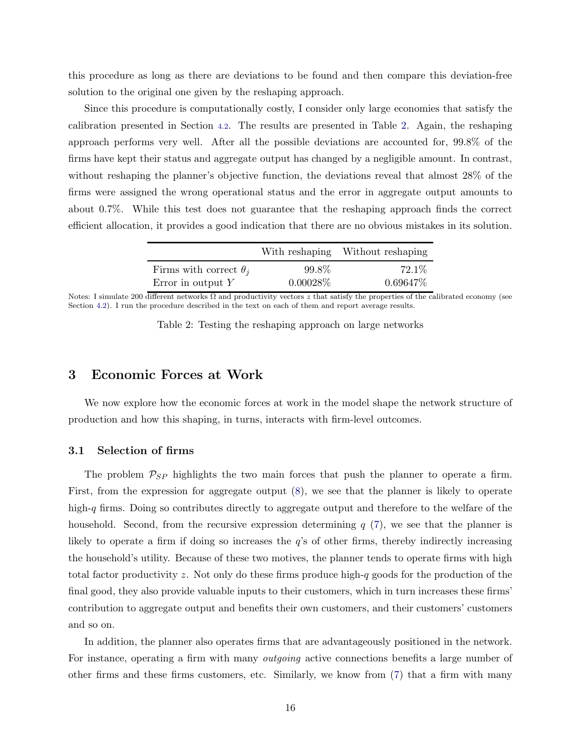this procedure as long as there are deviations to be found and then compare this deviation-free solution to the original one given by the reshaping approach.

Since this procedure is computationally costly, I consider only large economies that satisfy the calibration presented in Section [4.2](#page-19-0). The results are presented in Table [2.](#page-15-0) Again, the reshaping approach performs very well. After all the possible deviations are accounted for, 99.8% of the firms have kept their status and aggregate output has changed by a negligible amount. In contrast, without reshaping the planner's objective function, the deviations reveal that almost 28% of the firms were assigned the wrong operational status and the error in aggregate output amounts to about 0.7%. While this test does not guarantee that the reshaping approach finds the correct efficient allocation, it provides a good indication that there are no obvious mistakes in its solution.

|                               |             | With reshaping Without reshaping |
|-------------------------------|-------------|----------------------------------|
| Firms with correct $\theta_i$ | 99.8%       | $72.1\%$                         |
| Error in output $Y$           | $0.00028\%$ | $0.69647\%$                      |

<span id="page-15-0"></span>Notes: I simulate 200 different networks Ω and productivity vectors z that satisfy the properties of the calibrated economy (see Section [4.2\)](#page-19-0). I run the procedure described in the text on each of them and report average results.

|  | Table 2: Testing the reshaping approach on large networks |  |  |
|--|-----------------------------------------------------------|--|--|
|  |                                                           |  |  |

### 3 Economic Forces at Work

We now explore how the economic forces at work in the model shape the network structure of production and how this shaping, in turns, interacts with firm-level outcomes.

#### 3.1 Selection of firms

The problem  $P_{SP}$  highlights the two main forces that push the planner to operate a firm. First, from the expression for aggregate output [\(8\)](#page-8-2), we see that the planner is likely to operate high-q firms. Doing so contributes directly to aggregate output and therefore to the welfare of the household. Second, from the recursive expression determining  $q(7)$  $q(7)$ , we see that the planner is likely to operate a firm if doing so increases the  $q$ 's of other firms, thereby indirectly increasing the household's utility. Because of these two motives, the planner tends to operate firms with high total factor productivity z. Not only do these firms produce high-q goods for the production of the final good, they also provide valuable inputs to their customers, which in turn increases these firms' contribution to aggregate output and benefits their own customers, and their customers' customers and so on.

In addition, the planner also operates firms that are advantageously positioned in the network. For instance, operating a firm with many *outgoing* active connections benefits a large number of other firms and these firms customers, etc. Similarly, we know from [\(7\)](#page-7-3) that a firm with many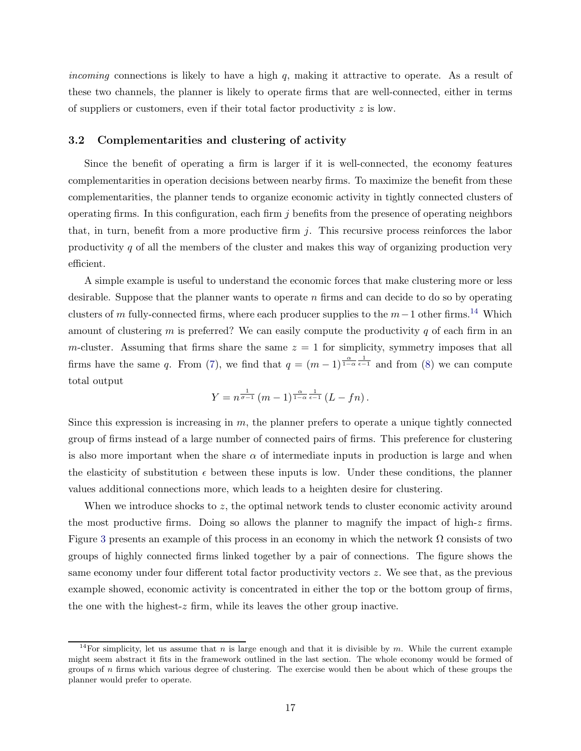incoming connections is likely to have a high  $q$ , making it attractive to operate. As a result of these two channels, the planner is likely to operate firms that are well-connected, either in terms of suppliers or customers, even if their total factor productivity z is low.

#### 3.2 Complementarities and clustering of activity

Since the benefit of operating a firm is larger if it is well-connected, the economy features complementarities in operation decisions between nearby firms. To maximize the benefit from these complementarities, the planner tends to organize economic activity in tightly connected clusters of operating firms. In this configuration, each firm  $j$  benefits from the presence of operating neighbors that, in turn, benefit from a more productive firm  $j$ . This recursive process reinforces the labor productivity q of all the members of the cluster and makes this way of organizing production very efficient.

A simple example is useful to understand the economic forces that make clustering more or less desirable. Suppose that the planner wants to operate  $n$  firms and can decide to do so by operating clusters of m fully-connected firms, where each producer supplies to the  $m-1$  other firms.<sup>14</sup> Which amount of clustering  $m$  is preferred? We can easily compute the productivity  $q$  of each firm in an m-cluster. Assuming that firms share the same  $z = 1$  for simplicity, symmetry imposes that all firms have the same q. From [\(7\)](#page-7-3), we find that  $q = (m-1)^{\frac{\alpha}{1-\alpha}} \frac{1}{\epsilon-1}$  and from [\(8\)](#page-8-2) we can compute total output

$$
Y = n^{\frac{1}{\sigma - 1}} (m - 1)^{\frac{\alpha}{1 - \alpha}} \frac{1}{\epsilon - 1} (L - fn).
$$

Since this expression is increasing in  $m$ , the planner prefers to operate a unique tightly connected group of firms instead of a large number of connected pairs of firms. This preference for clustering is also more important when the share  $\alpha$  of intermediate inputs in production is large and when the elasticity of substitution  $\epsilon$  between these inputs is low. Under these conditions, the planner values additional connections more, which leads to a heighten desire for clustering.

When we introduce shocks to  $z$ , the optimal network tends to cluster economic activity around the most productive firms. Doing so allows the planner to magnify the impact of high-z firms. Figure [3](#page-17-0) presents an example of this process in an economy in which the network  $\Omega$  consists of two groups of highly connected firms linked together by a pair of connections. The figure shows the same economy under four different total factor productivity vectors z. We see that, as the previous example showed, economic activity is concentrated in either the top or the bottom group of firms, the one with the highest- $z$  firm, while its leaves the other group inactive.

<sup>&</sup>lt;sup>14</sup>For simplicity, let us assume that n is large enough and that it is divisible by m. While the current example might seem abstract it fits in the framework outlined in the last section. The whole economy would be formed of groups of  $n$  firms which various degree of clustering. The exercise would then be about which of these groups the planner would prefer to operate.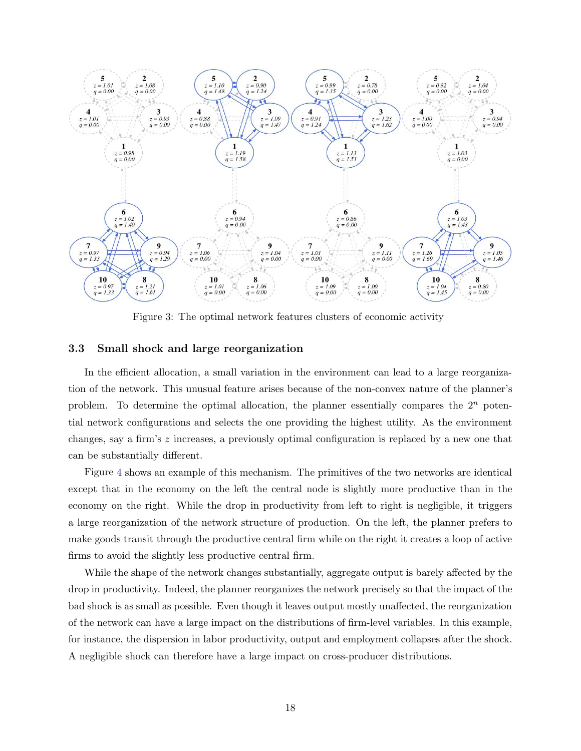<span id="page-17-0"></span>

Figure 3: The optimal network features clusters of economic activity

#### 3.3 Small shock and large reorganization

In the efficient allocation, a small variation in the environment can lead to a large reorganization of the network. This unusual feature arises because of the non-convex nature of the planner's problem. To determine the optimal allocation, the planner essentially compares the  $2^n$  potential network configurations and selects the one providing the highest utility. As the environment changes, say a firm's  $z$  increases, a previously optimal configuration is replaced by a new one that can be substantially different.

Figure [4](#page-18-0) shows an example of this mechanism. The primitives of the two networks are identical except that in the economy on the left the central node is slightly more productive than in the economy on the right. While the drop in productivity from left to right is negligible, it triggers a large reorganization of the network structure of production. On the left, the planner prefers to make goods transit through the productive central firm while on the right it creates a loop of active firms to avoid the slightly less productive central firm.

While the shape of the network changes substantially, aggregate output is barely affected by the drop in productivity. Indeed, the planner reorganizes the network precisely so that the impact of the bad shock is as small as possible. Even though it leaves output mostly unaffected, the reorganization of the network can have a large impact on the distributions of firm-level variables. In this example, for instance, the dispersion in labor productivity, output and employment collapses after the shock. A negligible shock can therefore have a large impact on cross-producer distributions.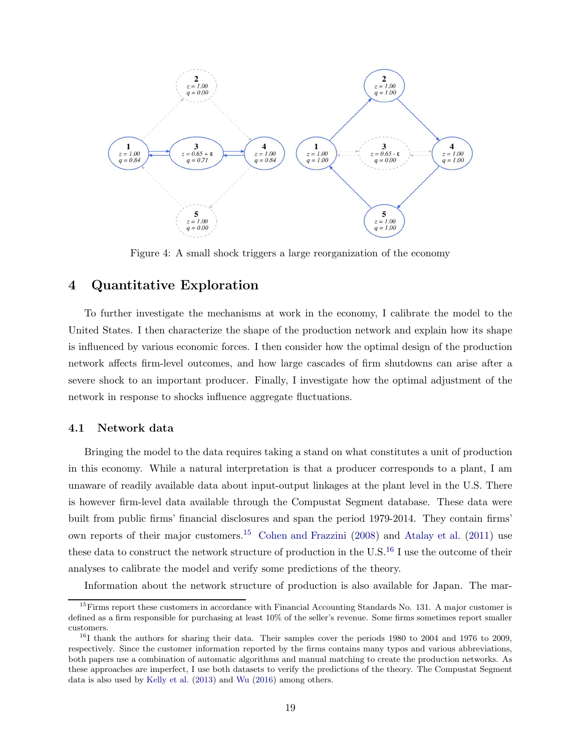<span id="page-18-0"></span>

Figure 4: A small shock triggers a large reorganization of the economy

## 4 Quantitative Exploration

To further investigate the mechanisms at work in the economy, I calibrate the model to the United States. I then characterize the shape of the production network and explain how its shape is influenced by various economic forces. I then consider how the optimal design of the production network affects firm-level outcomes, and how large cascades of firm shutdowns can arise after a severe shock to an important producer. Finally, I investigate how the optimal adjustment of the network in response to shocks influence aggregate fluctuations.

#### 4.1 Network data

Bringing the model to the data requires taking a stand on what constitutes a unit of production in this economy. While a natural interpretation is that a producer corresponds to a plant, I am unaware of readily available data about input-output linkages at the plant level in the U.S. There is however firm-level data available through the Compustat Segment database. These data were built from public firms' financial disclosures and span the period 1979-2014. They contain firms' own reports of their major customers.<sup>15</sup> [Cohen and Frazzini](#page-31-8) [\(2008\)](#page-31-8) and [Atalay et al.](#page-30-3) [\(2011](#page-30-3)) use these data to construct the network structure of production in the U.S.<sup>16</sup> I use the outcome of their analyses to calibrate the model and verify some predictions of the theory.

Information about the network structure of production is also available for Japan. The mar-

 $15$ Firms report these customers in accordance with Financial Accounting Standards No. 131. A major customer is defined as a firm responsible for purchasing at least 10% of the seller's revenue. Some firms sometimes report smaller customers.

<sup>&</sup>lt;sup>16</sup>I thank the authors for sharing their data. Their samples cover the periods 1980 to 2004 and 1976 to 2009, respectively. Since the customer information reported by the firms contains many typos and various abbreviations, both papers use a combination of automatic algorithms and manual matching to create the production networks. As these approaches are imperfect, I use both datasets to verify the predictions of the theory. The Compustat Segment data is also used by [Kelly et al.](#page-32-6) [\(2013](#page-32-6)) and [Wu](#page-32-7) [\(2016](#page-32-7)) among others.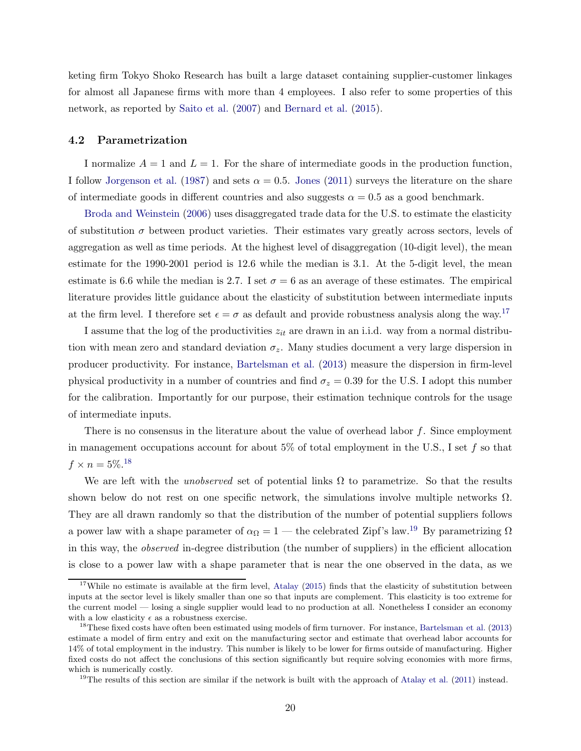keting firm Tokyo Shoko Research has built a large dataset containing supplier-customer linkages for almost all Japanese firms with more than 4 employees. I also refer to some properties of this network, as reported by [Saito et al.](#page-32-8) [\(2007\)](#page-32-8) and [Bernard et al.](#page-30-11) [\(2015](#page-30-11)).

#### <span id="page-19-0"></span>4.2 Parametrization

I normalize  $A = 1$  and  $L = 1$ . For the share of intermediate goods in the production function, I follow [Jorgenson et al.](#page-32-9) [\(1987](#page-32-9)) and sets  $\alpha = 0.5$ . [Jones](#page-31-9) [\(2011](#page-31-9)) surveys the literature on the share of intermediate goods in different countries and also suggests  $\alpha = 0.5$  as a good benchmark.

[Broda and Weinstein](#page-30-12) [\(2006](#page-30-12)) uses disaggregated trade data for the U.S. to estimate the elasticity of substitution  $\sigma$  between product varieties. Their estimates vary greatly across sectors, levels of aggregation as well as time periods. At the highest level of disaggregation (10-digit level), the mean estimate for the 1990-2001 period is 12.6 while the median is 3.1. At the 5-digit level, the mean estimate is 6.6 while the median is 2.7. I set  $\sigma = 6$  as an average of these estimates. The empirical literature provides little guidance about the elasticity of substitution between intermediate inputs at the firm level. I therefore set  $\epsilon = \sigma$  as default and provide robustness analysis along the way.<sup>17</sup>

I assume that the log of the productivities  $z_{it}$  are drawn in an i.i.d. way from a normal distribution with mean zero and standard deviation  $\sigma_z$ . Many studies document a very large dispersion in producer productivity. For instance, [Bartelsman et al.](#page-30-13) [\(2013\)](#page-30-13) measure the dispersion in firm-level physical productivity in a number of countries and find  $\sigma_z = 0.39$  for the U.S. I adopt this number for the calibration. Importantly for our purpose, their estimation technique controls for the usage of intermediate inputs.

There is no consensus in the literature about the value of overhead labor  $f$ . Since employment in management occupations account for about 5% of total employment in the U.S., I set  $f$  so that  $f \times n = 5\%.$ <sup>18</sup>

We are left with the *unobserved* set of potential links  $\Omega$  to parametrize. So that the results shown below do not rest on one specific network, the simulations involve multiple networks  $\Omega$ . They are all drawn randomly so that the distribution of the number of potential suppliers follows a power law with a shape parameter of  $\alpha_{\Omega} = 1$  — the celebrated Zipf's law.<sup>19</sup> By parametrizing  $\Omega$ in this way, the observed in-degree distribution (the number of suppliers) in the efficient allocation is close to a power law with a shape parameter that is near the one observed in the data, as we

<sup>&</sup>lt;sup>17</sup>While no estimate is available at the firm level, [Atalay](#page-30-1) [\(2015](#page-30-1)) finds that the elasticity of substitution between inputs at the sector level is likely smaller than one so that inputs are complement. This elasticity is too extreme for the current model — losing a single supplier would lead to no production at all. Nonetheless I consider an economy with a low elasticity  $\epsilon$  as a robustness exercise.

<sup>&</sup>lt;sup>18</sup>These fixed costs have often been estimated using models of firm turnover. For instance, [Bartelsman et al.](#page-30-13) [\(2013](#page-30-13)) estimate a model of firm entry and exit on the manufacturing sector and estimate that overhead labor accounts for 14% of total employment in the industry. This number is likely to be lower for firms outside of manufacturing. Higher fixed costs do not affect the conclusions of this section significantly but require solving economies with more firms, which is numerically costly.

 $19$ The results of this section are similar if the network is built with the approach of [Atalay et al.](#page-30-3) [\(2011\)](#page-30-3) instead.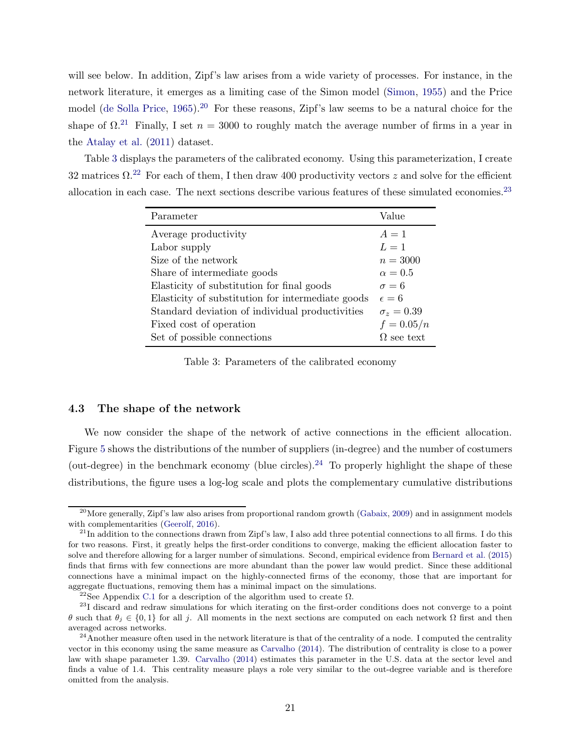will see below. In addition, Zipf's law arises from a wide variety of processes. For instance, in the network literature, it emerges as a limiting case of the Simon model [\(Simon,](#page-32-10) [1955](#page-32-10)) and the Price model [\(de Solla Price,](#page-31-10) [1965](#page-31-10)).<sup>20</sup> For these reasons, Zipf's law seems to be a natural choice for the shape of  $\Omega^{21}$  Finally, I set  $n = 3000$  to roughly match the average number of firms in a year in the [Atalay et al.](#page-30-3) [\(2011\)](#page-30-3) dataset.

<span id="page-20-0"></span>Table [3](#page-20-0) displays the parameters of the calibrated economy. Using this parameterization, I create 32 matrices  $\Omega^{22}$  For each of them, I then draw 400 productivity vectors z and solve for the efficient allocation in each case. The next sections describe various features of these simulated economies.<sup>23</sup>

| Parameter                                         | Value             |
|---------------------------------------------------|-------------------|
| Average productivity                              | $A=1$             |
| Labor supply                                      | $L=1$             |
| Size of the network                               | $n = 3000$        |
| Share of intermediate goods                       | $\alpha=0.5$      |
| Elasticity of substitution for final goods        | $\sigma = 6$      |
| Elasticity of substitution for intermediate goods | $\epsilon = 6$    |
| Standard deviation of individual productivities   | $\sigma_z = 0.39$ |
| Fixed cost of operation                           | $f = 0.05/n$      |
| Set of possible connections                       | $\Omega$ see text |

Table 3: Parameters of the calibrated economy

#### 4.3 The shape of the network

We now consider the shape of the network of active connections in the efficient allocation. Figure [5](#page-21-0) shows the distributions of the number of suppliers (in-degree) and the number of costumers (out-degree) in the benchmark economy (blue circles).<sup>24</sup> To properly highlight the shape of these distributions, the figure uses a log-log scale and plots the complementary cumulative distributions

<sup>&</sup>lt;sup>20</sup>More generally, Zipf's law also arises from proportional random growth [\(Gabaix](#page-31-11), [2009\)](#page-31-11) and in assignment models with complementarities [\(Geerolf](#page-31-12), [2016\)](#page-31-12).

 $^{21}$ In addition to the connections drawn from Zipf's law, I also add three potential connections to all firms. I do this for two reasons. First, it greatly helps the first-order conditions to converge, making the efficient allocation faster to solve and therefore allowing for a larger number of simulations. Second, empirical evidence from [Bernard et al.](#page-30-11) [\(2015](#page-30-11)) finds that firms with few connections are more abundant than the power law would predict. Since these additional connections have a minimal impact on the highly-connected firms of the economy, those that are important for aggregate fluctuations, removing them has a minimal impact on the simulations.

<sup>&</sup>lt;sup>22</sup>See Appendix [C.1](#page-44-0) for a description of the algorithm used to create  $\Omega$ .

 $^{23}$ I discard and redraw simulations for which iterating on the first-order conditions does not converge to a point θ such that θ<sup>j</sup> ∈ {0, 1} for all j. All moments in the next sections are computed on each network Ω first and then averaged across networks.

 $^{24}$ Another measure often used in the network literature is that of the centrality of a node. I computed the centrality vector in this economy using the same measure as [Carvalho](#page-31-0) [\(2014](#page-31-0)). The distribution of centrality is close to a power law with shape parameter 1.39. [Carvalho](#page-31-0) [\(2014](#page-31-0)) estimates this parameter in the U.S. data at the sector level and finds a value of 1.4. This centrality measure plays a role very similar to the out-degree variable and is therefore omitted from the analysis.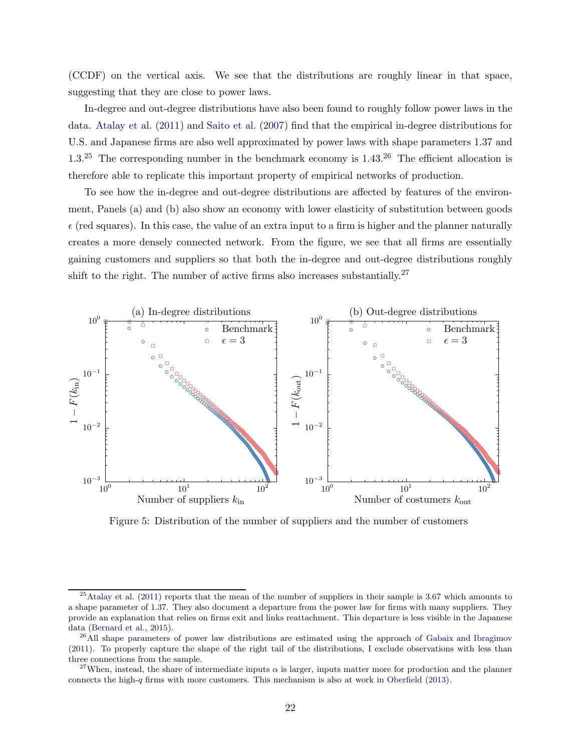(CCDF) on the vertical axis. We see that the distributions are roughly linear in that space, suggesting that they are close to power laws.

In-degree and out-degree distributions have also been found to roughly follow power laws in the data. [Atalay et al.](#page-30-3) [\(2011](#page-30-3)) and [Saito et al.](#page-32-8) [\(2007](#page-32-8)) find that the empirical in-degree distributions for U.S. and Japanese firms are also well approximated by power laws with shape parameters 1.37 and  $1.3^{25}$  The corresponding number in the benchmark economy is  $1.43^{26}$  The efficient allocation is therefore able to replicate this important property of empirical networks of production.

To see how the in-degree and out-degree distributions are affected by features of the environment, Panels (a) and (b) also show an economy with lower elasticity of substitution between goods  $\epsilon$  (red squares). In this case, the value of an extra input to a firm is higher and the planner naturally creates a more densely connected network. From the figure, we see that all firms are essentially gaining customers and suppliers so that both the in-degree and out-degree distributions roughly shift to the right. The number of active firms also increases substantially.<sup>27</sup>

<span id="page-21-0"></span>

Figure 5: Distribution of the number of suppliers and the number of customers

 $^{25}$ [Atalay et al.](#page-30-3) [\(2011](#page-30-3)) reports that the mean of the number of suppliers in their sample is 3.67 which amounts to a shape parameter of 1.37. They also document a departure from the power law for firms with many suppliers. They provide an explanation that relies on firms exit and links reattachment. This departure is less visible in the Japanese data [\(Bernard et al.,](#page-30-11) [2015\)](#page-30-11).

<sup>&</sup>lt;sup>26</sup>All shape parameters of power law distributions are estimated using the approach of [Gabaix and Ibragimov](#page-31-13) [\(2011\)](#page-31-13). To properly capture the shape of the right tail of the distributions, I exclude observations with less than three connections from the sample.

<sup>&</sup>lt;sup>27</sup>When, instead, the share of intermediate inputs  $\alpha$  is larger, inputs matter more for production and the planner connects the high-q firms with more customers. This mechanism is also at work in [Oberfield](#page-32-3)  $(2013)$  $(2013)$ .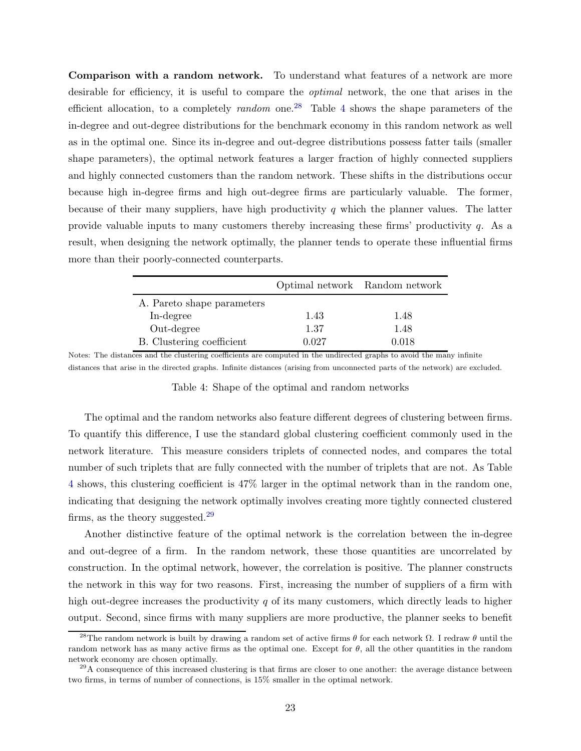Comparison with a random network. To understand what features of a network are more desirable for efficiency, it is useful to compare the optimal network, the one that arises in the efficient allocation, to a completely *random* one.<sup>28</sup> Table [4](#page-22-0) shows the shape parameters of the in-degree and out-degree distributions for the benchmark economy in this random network as well as in the optimal one. Since its in-degree and out-degree distributions possess fatter tails (smaller shape parameters), the optimal network features a larger fraction of highly connected suppliers and highly connected customers than the random network. These shifts in the distributions occur because high in-degree firms and high out-degree firms are particularly valuable. The former, because of their many suppliers, have high productivity  $q$  which the planner values. The latter provide valuable inputs to many customers thereby increasing these firms' productivity  $q$ . As a result, when designing the network optimally, the planner tends to operate these influential firms more than their poorly-connected counterparts.

<span id="page-22-0"></span>

|                            |       | Optimal network Random network |
|----------------------------|-------|--------------------------------|
| A. Pareto shape parameters |       |                                |
| In-degree                  | 1.43  | 1.48                           |
| Out-degree                 | 1.37  | 1.48                           |
| B. Clustering coefficient  | 0.027 | 0.018                          |

Notes: The distances and the clustering coefficients are computed in the undirected graphs to avoid the many infinite distances that arise in the directed graphs. Infinite distances (arising from unconnected parts of the network) are excluded.

Table 4: Shape of the optimal and random networks

The optimal and the random networks also feature different degrees of clustering between firms. To quantify this difference, I use the standard global clustering coefficient commonly used in the network literature. This measure considers triplets of connected nodes, and compares the total number of such triplets that are fully connected with the number of triplets that are not. As Table [4](#page-22-0) shows, this clustering coefficient is 47% larger in the optimal network than in the random one, indicating that designing the network optimally involves creating more tightly connected clustered firms, as the theory suggested.<sup>29</sup>

Another distinctive feature of the optimal network is the correlation between the in-degree and out-degree of a firm. In the random network, these those quantities are uncorrelated by construction. In the optimal network, however, the correlation is positive. The planner constructs the network in this way for two reasons. First, increasing the number of suppliers of a firm with high out-degree increases the productivity q of its many customers, which directly leads to higher output. Second, since firms with many suppliers are more productive, the planner seeks to benefit

<sup>&</sup>lt;sup>28</sup>The random network is built by drawing a random set of active firms  $\theta$  for each network  $\Omega$ . I redraw  $\theta$  until the random network has as many active firms as the optimal one. Except for  $\theta$ , all the other quantities in the random network economy are chosen optimally.

 $^{29}$ A consequence of this increased clustering is that firms are closer to one another: the average distance between two firms, in terms of number of connections, is 15% smaller in the optimal network.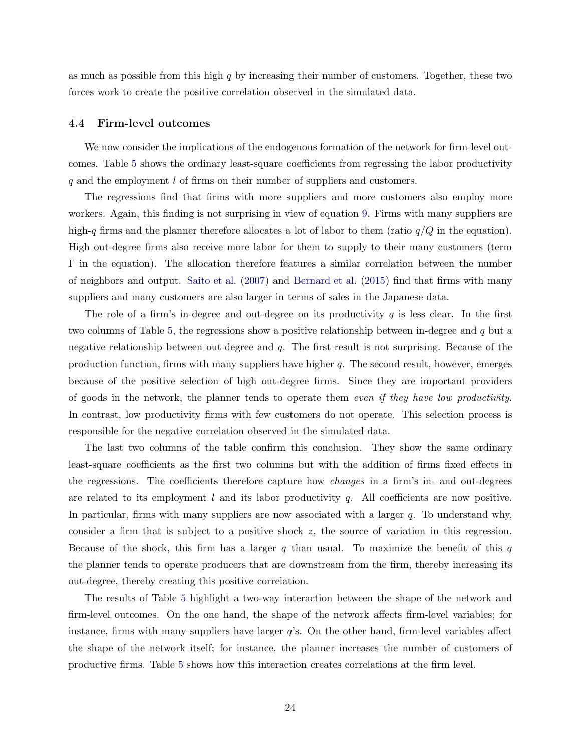as much as possible from this high  $q$  by increasing their number of customers. Together, these two forces work to create the positive correlation observed in the simulated data.

#### 4.4 Firm-level outcomes

We now consider the implications of the endogenous formation of the network for firm-level outcomes. Table [5](#page-24-0) shows the ordinary least-square coefficients from regressing the labor productivity q and the employment l of firms on their number of suppliers and customers.

The regressions find that firms with more suppliers and more customers also employ more workers. Again, this finding is not surprising in view of equation [9.](#page-8-1) Firms with many suppliers are high-q firms and the planner therefore allocates a lot of labor to them (ratio  $q/Q$  in the equation). High out-degree firms also receive more labor for them to supply to their many customers (term Γ in the equation). The allocation therefore features a similar correlation between the number of neighbors and output. [Saito et al.](#page-32-8) [\(2007](#page-32-8)) and [Bernard et al.](#page-30-11) [\(2015](#page-30-11)) find that firms with many suppliers and many customers are also larger in terms of sales in the Japanese data.

The role of a firm's in-degree and out-degree on its productivity  $q$  is less clear. In the first two columns of Table [5,](#page-24-0) the regressions show a positive relationship between in-degree and q but a negative relationship between out-degree and  $q$ . The first result is not surprising. Because of the production function, firms with many suppliers have higher  $q$ . The second result, however, emerges because of the positive selection of high out-degree firms. Since they are important providers of goods in the network, the planner tends to operate them even if they have low productivity. In contrast, low productivity firms with few customers do not operate. This selection process is responsible for the negative correlation observed in the simulated data.

The last two columns of the table confirm this conclusion. They show the same ordinary least-square coefficients as the first two columns but with the addition of firms fixed effects in the regressions. The coefficients therefore capture how changes in a firm's in- and out-degrees are related to its employment  $l$  and its labor productivity  $q$ . All coefficients are now positive. In particular, firms with many suppliers are now associated with a larger  $q$ . To understand why, consider a firm that is subject to a positive shock z, the source of variation in this regression. Because of the shock, this firm has a larger q than usual. To maximize the benefit of this q the planner tends to operate producers that are downstream from the firm, thereby increasing its out-degree, thereby creating this positive correlation.

The results of Table [5](#page-24-0) highlight a two-way interaction between the shape of the network and firm-level outcomes. On the one hand, the shape of the network affects firm-level variables; for instance, firms with many suppliers have larger  $q$ 's. On the other hand, firm-level variables affect the shape of the network itself; for instance, the planner increases the number of customers of productive firms. Table [5](#page-24-0) shows how this interaction creates correlations at the firm level.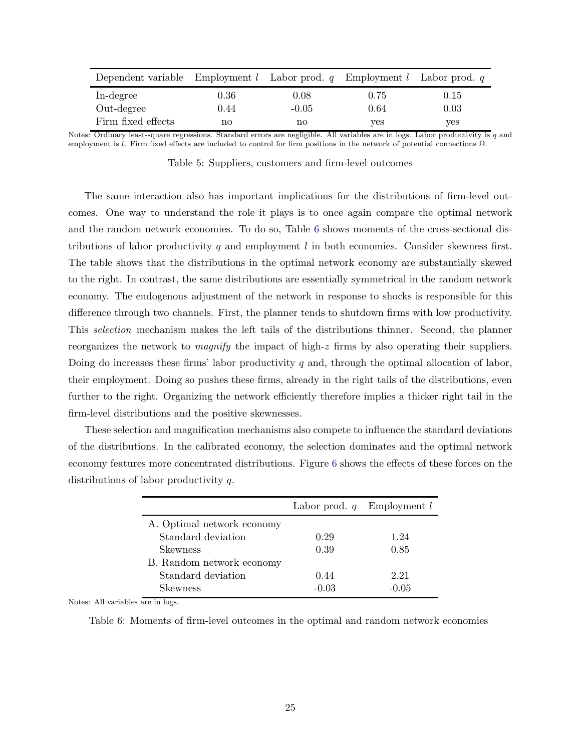<span id="page-24-0"></span>

| Dependent variable Employment $l$ Labor prod. $q$ Employment $l$ Labor prod. $q$ |      |         |      |      |
|----------------------------------------------------------------------------------|------|---------|------|------|
| In-degree                                                                        | 0.36 | 0.08    | 0.75 | 0.15 |
| Out-degree                                                                       | 0.44 | $-0.05$ | 0.64 | 0.03 |
| Firm fixed effects                                                               | no   | no      | ves  | yes  |

Notes: Ordinary least-square regressions. Standard errors are negligible. All variables are in logs. Labor productivity is  $q$  and employment is l. Firm fixed effects are included to control for firm positions in the network of potential connections  $Ω$ .

Table 5: Suppliers, customers and firm-level outcomes

The same interaction also has important implications for the distributions of firm-level outcomes. One way to understand the role it plays is to once again compare the optimal network and the random network economies. To do so, Table [6](#page-24-1) shows moments of the cross-sectional distributions of labor productivity q and employment  $l$  in both economies. Consider skewness first. The table shows that the distributions in the optimal network economy are substantially skewed to the right. In contrast, the same distributions are essentially symmetrical in the random network economy. The endogenous adjustment of the network in response to shocks is responsible for this difference through two channels. First, the planner tends to shutdown firms with low productivity. This selection mechanism makes the left tails of the distributions thinner. Second, the planner reorganizes the network to *magnify* the impact of high-z firms by also operating their suppliers. Doing do increases these firms' labor productivity  $q$  and, through the optimal allocation of labor, their employment. Doing so pushes these firms, already in the right tails of the distributions, even further to the right. Organizing the network efficiently therefore implies a thicker right tail in the firm-level distributions and the positive skewnesses.

<span id="page-24-1"></span>These selection and magnification mechanisms also compete to influence the standard deviations of the distributions. In the calibrated economy, the selection dominates and the optimal network economy features more concentrated distributions. Figure [6](#page-25-0) shows the effects of these forces on the distributions of labor productivity q.

|                            |         | Labor prod. $q$ Employment l |
|----------------------------|---------|------------------------------|
| A. Optimal network economy |         |                              |
| Standard deviation         | 0.29    | 1.24                         |
| <b>Skewness</b>            | 0.39    | 0.85                         |
| B. Random network economy  |         |                              |
| Standard deviation         | 0.44    | 2.21                         |
| <b>Skewness</b>            | $-0.03$ | $-0.05$                      |

Notes: All variables are in logs.

Table 6: Moments of firm-level outcomes in the optimal and random network economies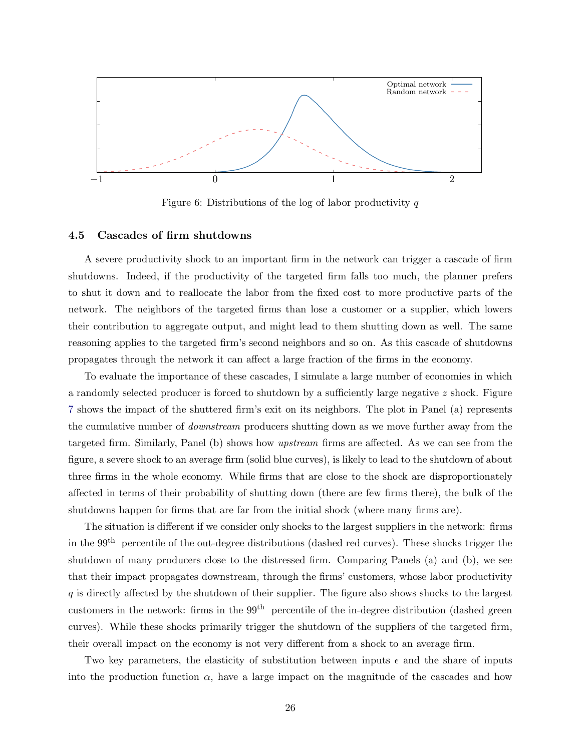<span id="page-25-0"></span>

Figure 6: Distributions of the log of labor productivity  $q$ 

#### <span id="page-25-1"></span>4.5 Cascades of firm shutdowns

A severe productivity shock to an important firm in the network can trigger a cascade of firm shutdowns. Indeed, if the productivity of the targeted firm falls too much, the planner prefers to shut it down and to reallocate the labor from the fixed cost to more productive parts of the network. The neighbors of the targeted firms than lose a customer or a supplier, which lowers their contribution to aggregate output, and might lead to them shutting down as well. The same reasoning applies to the targeted firm's second neighbors and so on. As this cascade of shutdowns propagates through the network it can affect a large fraction of the firms in the economy.

To evaluate the importance of these cascades, I simulate a large number of economies in which a randomly selected producer is forced to shutdown by a sufficiently large negative  $z$  shock. Figure [7](#page-26-0) shows the impact of the shuttered firm's exit on its neighbors. The plot in Panel (a) represents the cumulative number of downstream producers shutting down as we move further away from the targeted firm. Similarly, Panel (b) shows how upstream firms are affected. As we can see from the figure, a severe shock to an average firm (solid blue curves), is likely to lead to the shutdown of about three firms in the whole economy. While firms that are close to the shock are disproportionately affected in terms of their probability of shutting down (there are few firms there), the bulk of the shutdowns happen for firms that are far from the initial shock (where many firms are).

The situation is different if we consider only shocks to the largest suppliers in the network: firms in the 99th percentile of the out-degree distributions (dashed red curves). These shocks trigger the shutdown of many producers close to the distressed firm. Comparing Panels (a) and (b), we see that their impact propagates downstream, through the firms' customers, whose labor productivity q is directly affected by the shutdown of their supplier. The figure also shows shocks to the largest customers in the network: firms in the 99<sup>th</sup> percentile of the in-degree distribution (dashed green curves). While these shocks primarily trigger the shutdown of the suppliers of the targeted firm, their overall impact on the economy is not very different from a shock to an average firm.

Two key parameters, the elasticity of substitution between inputs  $\epsilon$  and the share of inputs into the production function  $\alpha$ , have a large impact on the magnitude of the cascades and how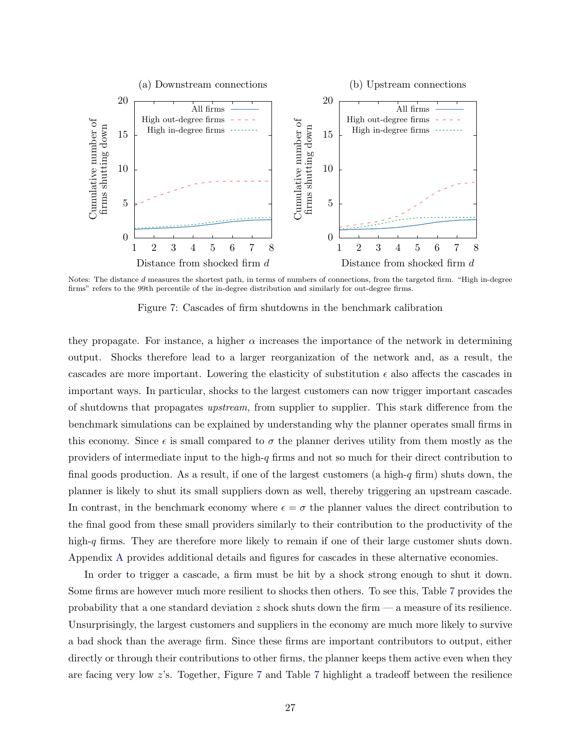<span id="page-26-0"></span>

Notes: The distance d measures the shortest path, in terms of numbers of connections, from the targeted firm. "High in-degree firms" refers to the 99th percentile of the in-degree distribution and similarly for out-degree firms.

Figure 7: Cascades of firm shutdowns in the benchmark calibration

they propagate. For instance, a higher  $\alpha$  increases the importance of the network in determining output. Shocks therefore lead to a larger reorganization of the network and, as a result, the cascades are more important. Lowering the elasticity of substitution  $\epsilon$  also affects the cascades in important ways. In particular, shocks to the largest customers can now trigger important cascades of shutdowns that propagates upstream, from supplier to supplier. This stark difference from the benchmark simulations can be explained by understanding why the planner operates small firms in this economy. Since  $\epsilon$  is small compared to  $\sigma$  the planner derives utility from them mostly as the providers of intermediate input to the high- $q$  firms and not so much for their direct contribution to final goods production. As a result, if one of the largest customers (a high-q firm) shuts down, the planner is likely to shut its small suppliers down as well, thereby triggering an upstream cascade. In contrast, in the benchmark economy where  $\epsilon = \sigma$  the planner values the direct contribution to the final good from these small providers similarly to their contribution to the productivity of the high-q firms. They are therefore more likely to remain if one of their large customer shuts down. Appendix [A](#page-33-0) provides additional details and figures for cascades in these alternative economies.

In order to trigger a cascade, a firm must be hit by a shock strong enough to shut it down. Some firms are however much more resilient to shocks then others. To see this, Table [7](#page-27-0) provides the probability that a one standard deviation  $z$  shock shuts down the firm  $\sim$  a measure of its resilience. Unsurprisingly, the largest customers and suppliers in the economy are much more likely to survive a bad shock than the average firm. Since these firms are important contributors to output, either directly or through their contributions to other firms, the planner keeps them active even when they are facing very low z's. Together, Figure [7](#page-26-0) and Table [7](#page-27-0) highlight a tradeoff between the resilience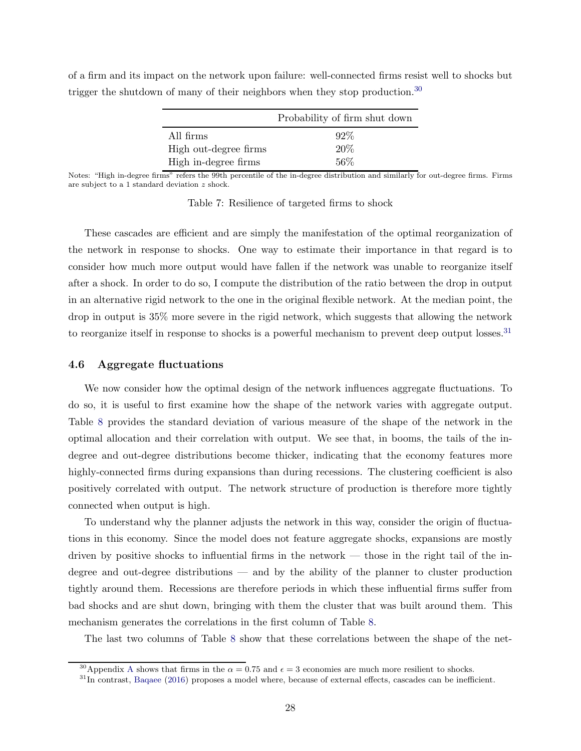|                       | Probability of firm shut down |
|-----------------------|-------------------------------|
| All firms             | $92\%$                        |
| High out-degree firms | 20%                           |
| High in-degree firms  | $56\%$                        |

<span id="page-27-0"></span>of a firm and its impact on the network upon failure: well-connected firms resist well to shocks but trigger the shutdown of many of their neighbors when they stop production.<sup>30</sup>

Notes: "High in-degree firms" refers the 99th percentile of the in-degree distribution and similarly for out-degree firms. Firms are subject to a 1 standard deviation z shock.

Table 7: Resilience of targeted firms to shock

These cascades are efficient and are simply the manifestation of the optimal reorganization of the network in response to shocks. One way to estimate their importance in that regard is to consider how much more output would have fallen if the network was unable to reorganize itself after a shock. In order to do so, I compute the distribution of the ratio between the drop in output in an alternative rigid network to the one in the original flexible network. At the median point, the drop in output is 35% more severe in the rigid network, which suggests that allowing the network to reorganize itself in response to shocks is a powerful mechanism to prevent deep output losses.<sup>31</sup>

#### 4.6 Aggregate fluctuations

We now consider how the optimal design of the network influences aggregate fluctuations. To do so, it is useful to first examine how the shape of the network varies with aggregate output. Table [8](#page-28-0) provides the standard deviation of various measure of the shape of the network in the optimal allocation and their correlation with output. We see that, in booms, the tails of the indegree and out-degree distributions become thicker, indicating that the economy features more highly-connected firms during expansions than during recessions. The clustering coefficient is also positively correlated with output. The network structure of production is therefore more tightly connected when output is high.

To understand why the planner adjusts the network in this way, consider the origin of fluctuations in this economy. Since the model does not feature aggregate shocks, expansions are mostly driven by positive shocks to influential firms in the network — those in the right tail of the indegree and out-degree distributions — and by the ability of the planner to cluster production tightly around them. Recessions are therefore periods in which these influential firms suffer from bad shocks and are shut down, bringing with them the cluster that was built around them. This mechanism generates the correlations in the first column of Table [8.](#page-28-0)

The last two columns of Table [8](#page-28-0) show that these correlations between the shape of the net-

<sup>&</sup>lt;sup>30</sup>[A](#page-33-0)ppendix A shows that firms in the  $\alpha = 0.75$  and  $\epsilon = 3$  economies are much more resilient to shocks.

<sup>&</sup>lt;sup>31</sup>In contrast, [Baqaee](#page-30-5) [\(2016](#page-30-5)) proposes a model where, because of external effects, cascades can be inefficient.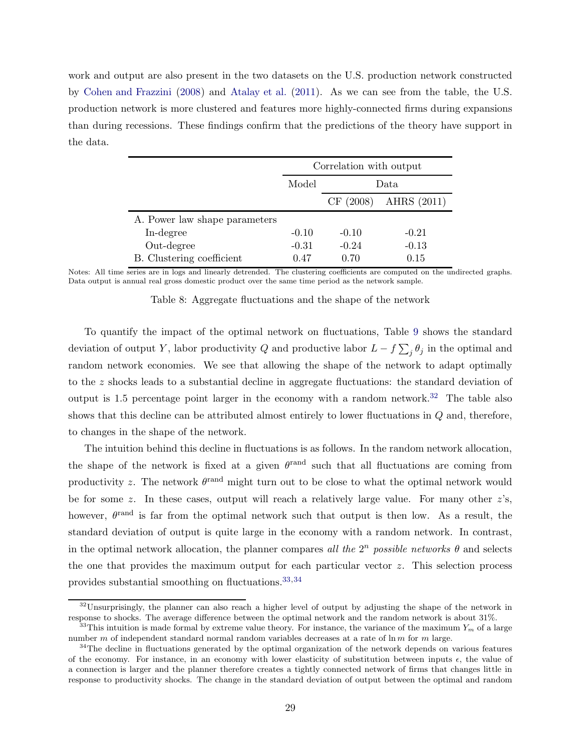work and output are also present in the two datasets on the U.S. production network constructed by [Cohen and Frazzini](#page-31-8) [\(2008](#page-31-8)) and [Atalay et al.](#page-30-3) [\(2011\)](#page-30-3). As we can see from the table, the U.S. production network is more clustered and features more highly-connected firms during expansions than during recessions. These findings confirm that the predictions of the theory have support in the data.

<span id="page-28-0"></span>

|                               |         | Correlation with output |             |  |
|-------------------------------|---------|-------------------------|-------------|--|
|                               | Model   | Data.                   |             |  |
|                               |         | CF(2008)                | AHRS (2011) |  |
| A. Power law shape parameters |         |                         |             |  |
| In-degree                     | $-0.10$ | $-0.10$                 | $-0.21$     |  |
| Out-degree                    | $-0.31$ | $-0.24$                 | $-0.13$     |  |
| B. Clustering coefficient     | 0.47    | 0.70                    | 0.15        |  |

Notes: All time series are in logs and linearly detrended. The clustering coefficients are computed on the undirected graphs. Data output is annual real gross domestic product over the same time period as the network sample.

Table 8: Aggregate fluctuations and the shape of the network

To quantify the impact of the optimal network on fluctuations, Table [9](#page-29-1) shows the standard deviation of output Y, labor productivity Q and productive labor  $L - f \sum_j \theta_j$  in the optimal and random network economies. We see that allowing the shape of the network to adapt optimally to the z shocks leads to a substantial decline in aggregate fluctuations: the standard deviation of output is 1.5 percentage point larger in the economy with a random network.<sup>32</sup> The table also shows that this decline can be attributed almost entirely to lower fluctuations in Q and, therefore, to changes in the shape of the network.

The intuition behind this decline in fluctuations is as follows. In the random network allocation, the shape of the network is fixed at a given  $\theta^{\text{rand}}$  such that all fluctuations are coming from productivity z. The network  $\theta^{\text{rand}}$  might turn out to be close to what the optimal network would be for some z. In these cases, output will reach a relatively large value. For many other  $z$ 's, however,  $\theta^{\text{rand}}$  is far from the optimal network such that output is then low. As a result, the standard deviation of output is quite large in the economy with a random network. In contrast, in the optimal network allocation, the planner compares all the  $2^n$  possible networks  $\theta$  and selects the one that provides the maximum output for each particular vector z. This selection process provides substantial smoothing on fluctuations.33,<sup>34</sup>

 $32$ Unsurprisingly, the planner can also reach a higher level of output by adjusting the shape of the network in response to shocks. The average difference between the optimal network and the random network is about 31%.

<sup>&</sup>lt;sup>33</sup>This intuition is made formal by extreme value theory. For instance, the variance of the maximum  $Y_m$  of a large number m of independent standard normal random variables decreases at a rate of  $\ln m$  for m large.

<sup>&</sup>lt;sup>34</sup>The decline in fluctuations generated by the optimal organization of the network depends on various features of the economy. For instance, in an economy with lower elasticity of substitution between inputs  $\epsilon$ , the value of a connection is larger and the planner therefore creates a tightly connected network of firms that changes little in response to productivity shocks. The change in the standard deviation of output between the optimal and random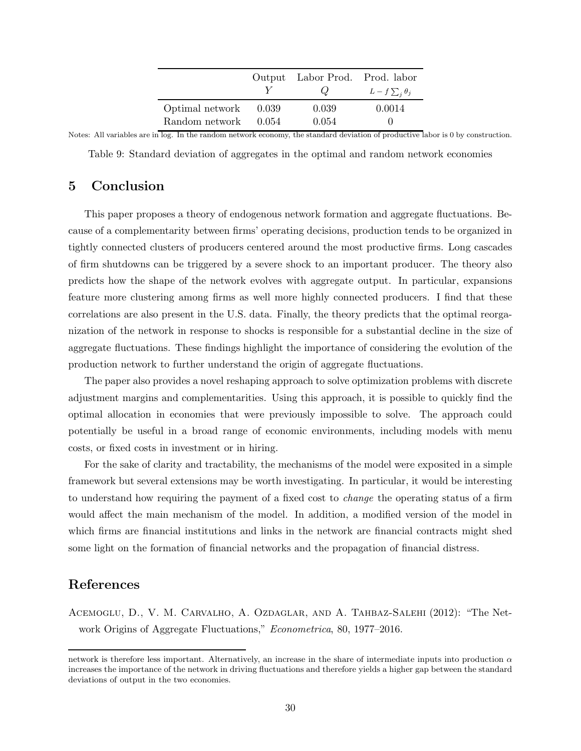|                                         |       | Output Labor Prod. Prod. labor<br>$\omega$ | $L-f\sum_i\theta_j$ |
|-----------------------------------------|-------|--------------------------------------------|---------------------|
| Optimal network<br>Random network 0.054 | 0.039 | 0.039<br>0.054                             | 0.0014              |

<span id="page-29-1"></span>Notes: All variables are in log. In the random network economy, the standard deviation of productive labor is 0 by construction.

Table 9: Standard deviation of aggregates in the optimal and random network economies

# 5 Conclusion

This paper proposes a theory of endogenous network formation and aggregate fluctuations. Because of a complementarity between firms' operating decisions, production tends to be organized in tightly connected clusters of producers centered around the most productive firms. Long cascades of firm shutdowns can be triggered by a severe shock to an important producer. The theory also predicts how the shape of the network evolves with aggregate output. In particular, expansions feature more clustering among firms as well more highly connected producers. I find that these correlations are also present in the U.S. data. Finally, the theory predicts that the optimal reorganization of the network in response to shocks is responsible for a substantial decline in the size of aggregate fluctuations. These findings highlight the importance of considering the evolution of the production network to further understand the origin of aggregate fluctuations.

The paper also provides a novel reshaping approach to solve optimization problems with discrete adjustment margins and complementarities. Using this approach, it is possible to quickly find the optimal allocation in economies that were previously impossible to solve. The approach could potentially be useful in a broad range of economic environments, including models with menu costs, or fixed costs in investment or in hiring.

For the sake of clarity and tractability, the mechanisms of the model were exposited in a simple framework but several extensions may be worth investigating. In particular, it would be interesting to understand how requiring the payment of a fixed cost to change the operating status of a firm would affect the main mechanism of the model. In addition, a modified version of the model in which firms are financial institutions and links in the network are financial contracts might shed some light on the formation of financial networks and the propagation of financial distress.

# References

<span id="page-29-0"></span>Acemoglu, D., V. M. Carvalho, A. Ozdaglar, and A. Tahbaz-Salehi (2012): "The Network Origins of Aggregate Fluctuations," *Econometrica*, 80, 1977–2016.

network is therefore less important. Alternatively, an increase in the share of intermediate inputs into production  $\alpha$ increases the importance of the network in driving fluctuations and therefore yields a higher gap between the standard deviations of output in the two economies.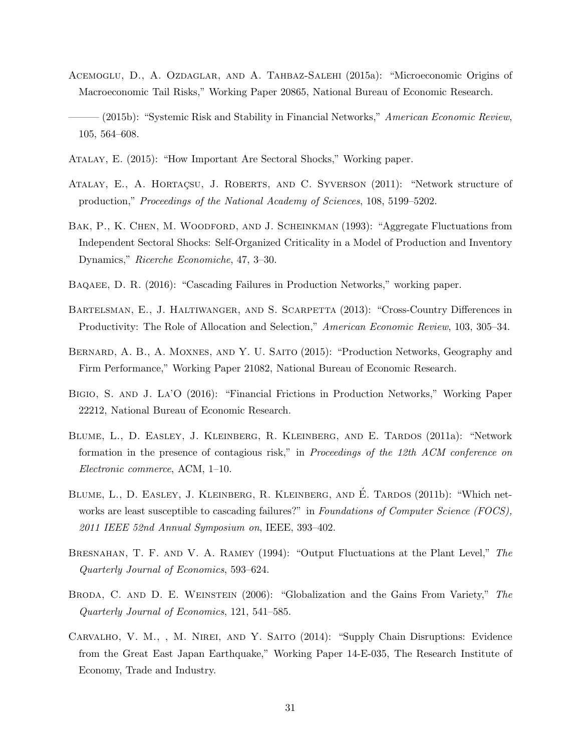- <span id="page-30-2"></span>Acemoglu, D., A. Ozdaglar, and A. Tahbaz-Salehi (2015a): "Microeconomic Origins of Macroeconomic Tail Risks," Working Paper 20865, National Bureau of Economic Research.
- <span id="page-30-6"></span>(2015b): "Systemic Risk and Stability in Financial Networks," American Economic Review, 105, 564–608.
- <span id="page-30-1"></span>Atalay, E. (2015): "How Important Are Sectoral Shocks," Working paper.
- <span id="page-30-3"></span>ATALAY, E., A. HORTAÇSU, J. ROBERTS, AND C. SYVERSON (2011): "Network structure of production," Proceedings of the National Academy of Sciences, 108, 5199–5202.
- <span id="page-30-7"></span>BAK, P., K. CHEN, M. WOODFORD, AND J. SCHEINKMAN (1993): "Aggregate Fluctuations from Independent Sectoral Shocks: Self-Organized Criticality in a Model of Production and Inventory Dynamics," Ricerche Economiche, 47, 3–30.
- <span id="page-30-5"></span>Baqaee, D. R. (2016): "Cascading Failures in Production Networks," working paper.
- <span id="page-30-13"></span>Bartelsman, E., J. Haltiwanger, and S. Scarpetta (2013): "Cross-Country Differences in Productivity: The Role of Allocation and Selection," American Economic Review, 103, 305–34.
- <span id="page-30-11"></span>BERNARD, A. B., A. MOXNES, AND Y. U. SAITO (2015): "Production Networks, Geography and Firm Performance," Working Paper 21082, National Bureau of Economic Research.
- <span id="page-30-4"></span>Bigio, S. and J. La'O (2016): "Financial Frictions in Production Networks," Working Paper 22212, National Bureau of Economic Research.
- <span id="page-30-8"></span>Blume, L., D. Easley, J. Kleinberg, R. Kleinberg, and E. Tardos (2011a): "Network formation in the presence of contagious risk," in Proceedings of the 12th ACM conference on Electronic commerce, ACM, 1–10.
- <span id="page-30-9"></span>BLUME, L., D. EASLEY, J. KLEINBERG, R. KLEINBERG, AND É. TARDOS (2011b): "Which networks are least susceptible to cascading failures?" in Foundations of Computer Science (FOCS), 2011 IEEE 52nd Annual Symposium on, IEEE, 393–402.
- <span id="page-30-10"></span>BRESNAHAN, T. F. AND V. A. RAMEY (1994): "Output Fluctuations at the Plant Level," The Quarterly Journal of Economics, 593–624.
- <span id="page-30-12"></span>BRODA, C. AND D. E. WEINSTEIN (2006): "Globalization and the Gains From Variety," The Quarterly Journal of Economics, 121, 541–585.
- <span id="page-30-0"></span>Carvalho, V. M., , M. Nirei, and Y. Saito (2014): "Supply Chain Disruptions: Evidence from the Great East Japan Earthquake," Working Paper 14-E-035, The Research Institute of Economy, Trade and Industry.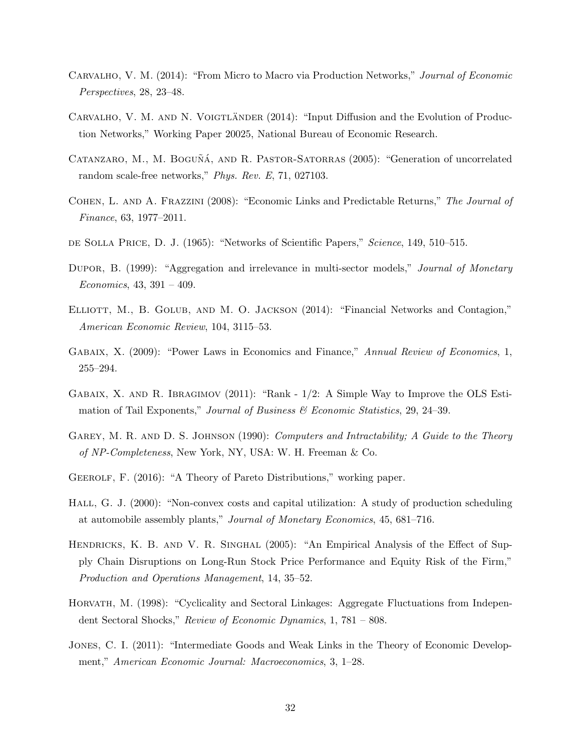- <span id="page-31-0"></span>Carvalho, V. M. (2014): "From Micro to Macro via Production Networks," Journal of Economic Perspectives, 28, 23–48.
- <span id="page-31-5"></span>CARVALHO, V. M. AND N. VOIGTLÄNDER (2014): "Input Diffusion and the Evolution of Production Networks," Working Paper 20025, National Bureau of Economic Research.
- <span id="page-31-14"></span>CATANZARO, M., M. BOGUÑÁ, AND R. PASTOR-SATORRAS (2005): "Generation of uncorrelated random scale-free networks," Phys. Rev. E, 71, 027103.
- <span id="page-31-8"></span>Cohen, L. and A. Frazzini (2008): "Economic Links and Predictable Returns," The Journal of Finance, 63, 1977–2011.
- <span id="page-31-10"></span>de Solla Price, D. J. (1965): "Networks of Scientific Papers," Science, 149, 510–515.
- <span id="page-31-4"></span>DUPOR, B. (1999): "Aggregation and irrelevance in multi-sector models," Journal of Monetary  $Economics, 43, 391 - 409.$
- <span id="page-31-6"></span>ELLIOTT, M., B. GOLUB, AND M. O. JACKSON (2014): "Financial Networks and Contagion," American Economic Review, 104, 3115–53.
- <span id="page-31-11"></span>Gabaix, X. (2009): "Power Laws in Economics and Finance," Annual Review of Economics, 1, 255–294.
- <span id="page-31-13"></span>Gabaix, X. and R. Ibragimov (2011): "Rank - 1/2: A Simple Way to Improve the OLS Estimation of Tail Exponents," Journal of Business & Economic Statistics, 29, 24–39.
- <span id="page-31-1"></span>GAREY, M. R. AND D. S. JOHNSON (1990): Computers and Intractability; A Guide to the Theory of NP-Completeness, New York, NY, USA: W. H. Freeman & Co.
- <span id="page-31-12"></span>Geerolf, F. (2016): "A Theory of Pareto Distributions," working paper.
- <span id="page-31-7"></span>HALL, G. J. (2000): "Non-convex costs and capital utilization: A study of production scheduling at automobile assembly plants," Journal of Monetary Economics, 45, 681–716.
- <span id="page-31-2"></span>HENDRICKS, K. B. AND V. R. SINGHAL (2005): "An Empirical Analysis of the Effect of Supply Chain Disruptions on Long-Run Stock Price Performance and Equity Risk of the Firm," Production and Operations Management, 14, 35–52.
- <span id="page-31-3"></span>Horvath, M. (1998): "Cyclicality and Sectoral Linkages: Aggregate Fluctuations from Independent Sectoral Shocks," Review of Economic Dynamics, 1, 781 – 808.
- <span id="page-31-9"></span>Jones, C. I. (2011): "Intermediate Goods and Weak Links in the Theory of Economic Development," American Economic Journal: Macroeconomics, 3, 1–28.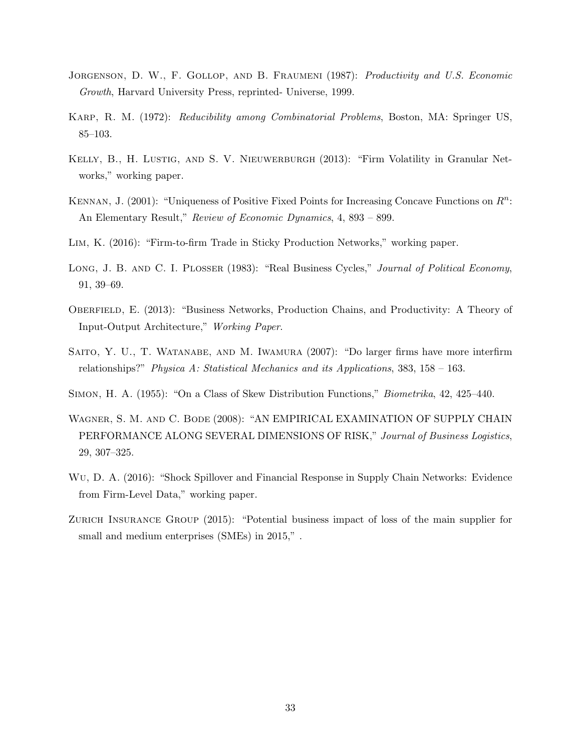- <span id="page-32-9"></span>JORGENSON, D. W., F. GOLLOP, AND B. FRAUMENI (1987): Productivity and U.S. Economic Growth, Harvard University Press, reprinted- Universe, 1999.
- <span id="page-32-5"></span>Karp, R. M. (1972): Reducibility among Combinatorial Problems, Boston, MA: Springer US, 85–103.
- <span id="page-32-6"></span>KELLY, B., H. LUSTIG, AND S. V. NIEUWERBURGH (2013): "Firm Volatility in Granular Networks," working paper.
- <span id="page-32-11"></span>KENNAN, J. (2001): "Uniqueness of Positive Fixed Points for Increasing Concave Functions on  $R^n$ : An Elementary Result," Review of Economic Dynamics, 4, 893 – 899.
- <span id="page-32-4"></span>Lim, K. (2016): "Firm-to-firm Trade in Sticky Production Networks," working paper.
- <span id="page-32-2"></span>LONG, J. B. AND C. I. PLOSSER (1983): "Real Business Cycles," Journal of Political Economy, 91, 39–69.
- <span id="page-32-3"></span>OBERFIELD, E. (2013): "Business Networks, Production Chains, and Productivity: A Theory of Input-Output Architecture," Working Paper.
- <span id="page-32-8"></span>SAITO, Y. U., T. WATANABE, AND M. IWAMURA (2007): "Do larger firms have more interfirm relationships?" Physica A: Statistical Mechanics and its Applications,  $383, 158 - 163$ .
- <span id="page-32-10"></span>Simon, H. A. (1955): "On a Class of Skew Distribution Functions," Biometrika, 42, 425–440.
- <span id="page-32-0"></span>Wagner, S. M. and C. Bode (2008): "AN EMPIRICAL EXAMINATION OF SUPPLY CHAIN PERFORMANCE ALONG SEVERAL DIMENSIONS OF RISK," Journal of Business Logistics, 29, 307–325.
- <span id="page-32-7"></span>Wu, D. A. (2016): "Shock Spillover and Financial Response in Supply Chain Networks: Evidence from Firm-Level Data," working paper.
- <span id="page-32-1"></span>ZURICH INSURANCE GROUP (2015): "Potential business impact of loss of the main supplier for small and medium enterprises (SMEs) in 2015," .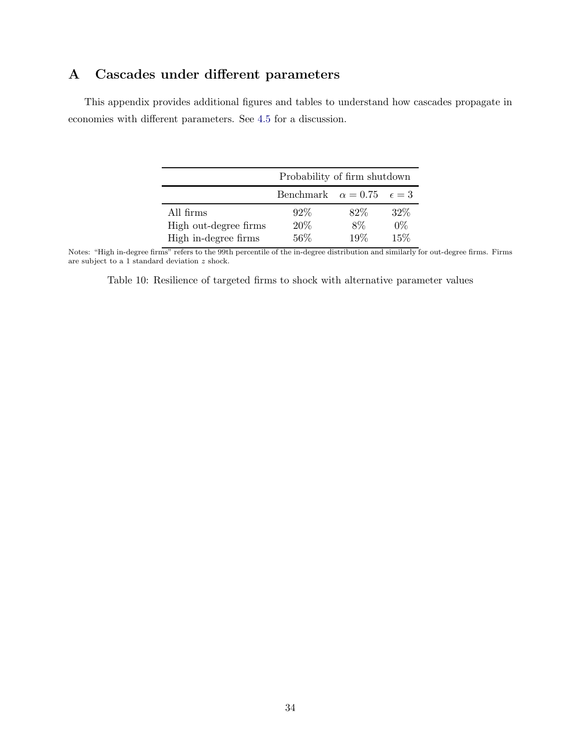# <span id="page-33-0"></span>A Cascades under different parameters

This appendix provides additional figures and tables to understand how cascades propagate in economies with different parameters. See [4.5](#page-25-1) for a discussion.

|                       | Probability of firm shutdown |      |                |  |
|-----------------------|------------------------------|------|----------------|--|
|                       | Benchmark $\alpha = 0.75$    |      | $\epsilon = 3$ |  |
| All firms             | $92\%$                       | 82\% | $32\%$         |  |
| High out-degree firms | 20%                          | 8%   | $0\%$          |  |
| High in-degree firms  | 56%                          | 19%  | 15%            |  |

Notes: "High in-degree firms" refers to the 99th percentile of the in-degree distribution and similarly for out-degree firms. Firms are subject to a 1 standard deviation z shock.

Table 10: Resilience of targeted firms to shock with alternative parameter values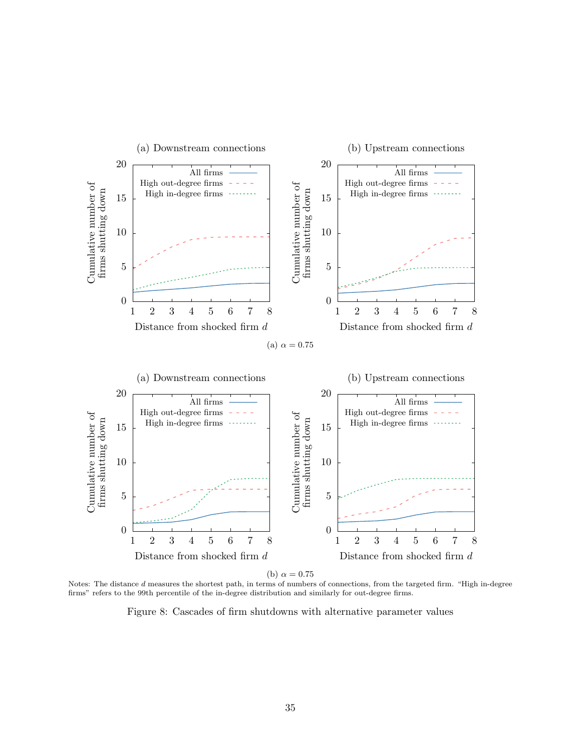

(b)  $\alpha = 0.75$ 

Notes: The distance d measures the shortest path, in terms of numbers of connections, from the targeted firm. "High in-degree firms" refers to the 99th percentile of the in-degree distribution and similarly for out-degree firms.

Figure 8: Cascades of firm shutdowns with alternative parameter values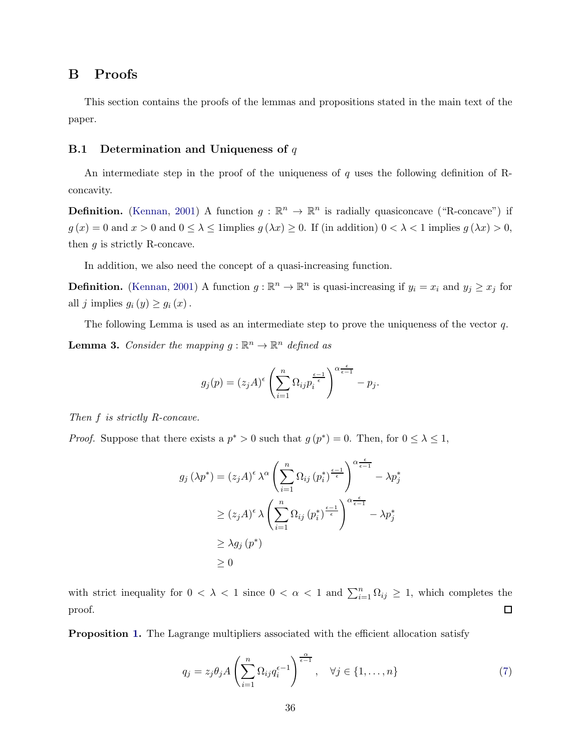# B Proofs

This section contains the proofs of the lemmas and propositions stated in the main text of the paper.

#### **B.1** Determination and Uniqueness of  $q$

An intermediate step in the proof of the uniqueness of q uses the following definition of Rconcavity.

**Definition.** [\(Kennan,](#page-32-11) [2001](#page-32-11)) A function  $g : \mathbb{R}^n \to \mathbb{R}^n$  is radially quasiconcave ("R-concave") if  $g(x) = 0$  and  $x > 0$  and  $0 \le \lambda \le 1$  implies  $g(\lambda x) \ge 0$ . If (in addition)  $0 < \lambda < 1$  implies  $g(\lambda x) > 0$ , then  $g$  is strictly R-concave.

In addition, we also need the concept of a quasi-increasing function.

**Definition.** [\(Kennan](#page-32-11), [2001](#page-32-11)) A function  $g : \mathbb{R}^n \to \mathbb{R}^n$  is quasi-increasing if  $y_i = x_i$  and  $y_j \ge x_j$  for all j implies  $g_i(y) \ge g_i(x)$ .

<span id="page-35-0"></span>The following Lemma is used as an intermediate step to prove the uniqueness of the vector q. **Lemma 3.** Consider the mapping  $g : \mathbb{R}^n \to \mathbb{R}^n$  defined as

$$
g_j(p) = (z_j A)^{\epsilon} \left( \sum_{i=1}^n \Omega_{ij} p_i^{\frac{\epsilon-1}{\epsilon}} \right)^{\alpha \frac{\epsilon}{\epsilon-1}} - p_j.
$$

Then f is strictly R-concave.

*Proof.* Suppose that there exists a  $p^* > 0$  such that  $g(p^*) = 0$ . Then, for  $0 \leq \lambda \leq 1$ ,

$$
g_j(\lambda p^*) = (z_j A)^{\epsilon} \lambda^{\alpha} \left( \sum_{i=1}^n \Omega_{ij} (p_i^*)^{\frac{\epsilon-1}{\epsilon}} \right)^{\alpha} \frac{\epsilon}{\epsilon-1}} - \lambda p_j^*
$$
  
\n
$$
\ge (z_j A)^{\epsilon} \lambda \left( \sum_{i=1}^n \Omega_{ij} (p_i^*)^{\frac{\epsilon-1}{\epsilon}} \right)^{\alpha} \frac{\epsilon}{\epsilon-1}} - \lambda p_j^*
$$
  
\n
$$
\ge \lambda g_j (p^*)
$$
  
\n
$$
\ge 0
$$

with strict inequality for  $0 < \lambda < 1$  since  $0 < \alpha < 1$  and  $\sum_{i=1}^{n} \Omega_{ij} \geq 1$ , which completes the  $\Box$ proof.

**Proposition [1.](#page-7-4)** The Lagrange multipliers associated with the efficient allocation satisfy

$$
q_j = z_j \theta_j A \left( \sum_{i=1}^n \Omega_{ij} q_i^{\epsilon-1} \right)^{\frac{\alpha}{\epsilon-1}}, \quad \forall j \in \{1, \dots, n\}
$$
 (7)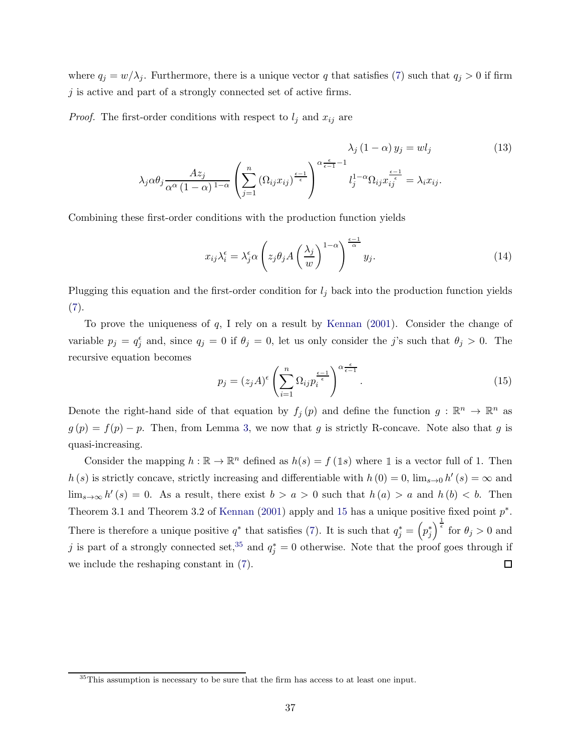where  $q_j = w/\lambda_j$ . Furthermore, there is a unique vector q that satisfies [\(7\)](#page-7-3) such that  $q_j > 0$  if firm  $j$  is active and part of a strongly connected set of active firms.

*Proof.* The first-order conditions with respect to  $l_j$  and  $x_{ij}$  are

$$
\lambda_j (1 - \alpha) y_j = w l_j
$$
\n
$$
\lambda_j \alpha \theta_j \frac{A z_j}{\alpha^{\alpha} (1 - \alpha)^{1 - \alpha}} \left( \sum_{j=1}^n (\Omega_{ij} x_{ij})^{\frac{\epsilon - 1}{\epsilon}} \right)^{\alpha \frac{\epsilon}{\epsilon - 1} - 1} l_j^{1 - \alpha} \Omega_{ij} x_{ij}^{\frac{\epsilon - 1}{\epsilon}} = \lambda_i x_{ij}.
$$
\n(13)

Combining these first-order conditions with the production function yields

<span id="page-36-2"></span><span id="page-36-1"></span>
$$
x_{ij}\lambda_i^{\epsilon} = \lambda_j^{\epsilon}\alpha \left(z_j\theta_j A\left(\frac{\lambda_j}{w}\right)^{1-\alpha}\right)^{\frac{\epsilon-1}{\alpha}} y_j.
$$
 (14)

Plugging this equation and the first-order condition for  $l_j$  back into the production function yields  $(7).$  $(7).$ 

To prove the uniqueness of  $q$ , I rely on a result by [Kennan](#page-32-11)  $(2001)$  $(2001)$ . Consider the change of variable  $p_j = q_j^{\epsilon}$  and, since  $q_j = 0$  if  $\theta_j = 0$ , let us only consider the j's such that  $\theta_j > 0$ . The recursive equation becomes

<span id="page-36-0"></span>
$$
p_j = (z_j A)^{\epsilon} \left(\sum_{i=1}^n \Omega_{ij} p_i^{\frac{\epsilon-1}{\epsilon}}\right)^{\alpha \frac{\epsilon}{\epsilon-1}}.
$$
\n(15)

Denote the right-hand side of that equation by  $f_j(p)$  and define the function  $g: \mathbb{R}^n \to \mathbb{R}^n$  as  $g(p) = f(p) - p$ . Then, from Lemma [3,](#page-35-0) we now that g is strictly R-concave. Note also that g is quasi-increasing.

Consider the mapping  $h : \mathbb{R} \to \mathbb{R}^n$  defined as  $h(s) = f(\mathbb{1}s)$  where  $\mathbb{1}$  is a vector full of 1. Then  $h(s)$  is strictly concave, strictly increasing and differentiable with  $h(0) = 0$ ,  $\lim_{s\to 0} h'(s) = \infty$  and  $\lim_{s\to\infty} h'(s) = 0$ . As a result, there exist  $b > a > 0$  such that  $h(a) > a$  and  $h(b) < b$ . Then Theorem 3.1 and Theorem 3.2 of [Kennan](#page-32-11) [\(2001](#page-32-11)) apply and [15](#page-36-0) has a unique positive fixed point  $p^*$ . There is therefore a unique positive  $q^*$  that satisfies [\(7\)](#page-7-3). It is such that  $q_j^* = (p_j^*)^{\frac{1}{\epsilon}}$  for  $\theta_j > 0$  and j is part of a strongly connected set,<sup>35</sup> and  $q_j^* = 0$  otherwise. Note that the proof goes through if we include the reshaping constant in [\(7\)](#page-7-3).  $\Box$ 

<sup>&</sup>lt;sup>35</sup>This assumption is necessary to be sure that the firm has access to at least one input.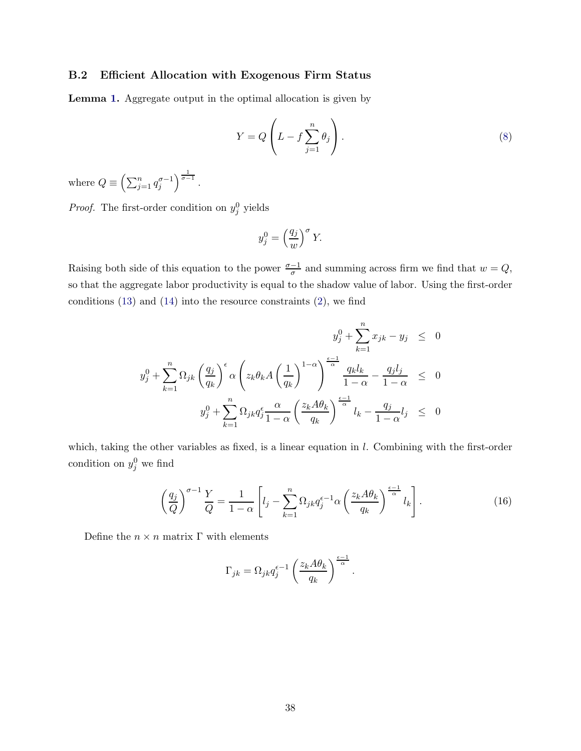### B.2 Efficient Allocation with Exogenous Firm Status

Lemma [1.](#page-8-0) Aggregate output in the optimal allocation is given by

$$
Y = Q\left(L - f \sum_{j=1}^{n} \theta_j\right).
$$
\n(8)

where  $Q \equiv \left(\sum_{j=1}^n q_j^{\sigma-1}\right)^{\frac{1}{\sigma-1}}$ .

*Proof.* The first-order condition on  $y_j^0$  yields

$$
y_j^0 = \left(\frac{q_j}{w}\right)^{\sigma} Y.
$$

Raising both side of this equation to the power  $\frac{\sigma-1}{\sigma}$  and summing across firm we find that  $w = Q$ , so that the aggregate labor productivity is equal to the shadow value of labor. Using the first-order conditions  $(13)$  and  $(14)$  into the resource constraints  $(2)$ , we find

$$
y_j^0 + \sum_{k=1}^n x_{jk} - y_j \le 0
$$
  

$$
y_j^0 + \sum_{k=1}^n \Omega_{jk} \left(\frac{q_j}{q_k}\right)^{\epsilon} \alpha \left(z_k \theta_k A \left(\frac{1}{q_k}\right)^{1-\alpha}\right)^{\frac{\epsilon-1}{\alpha}} \frac{q_k l_k}{1-\alpha} - \frac{q_j l_j}{1-\alpha} \le 0
$$
  

$$
y_j^0 + \sum_{k=1}^n \Omega_{jk} q_j^{\epsilon} \frac{\alpha}{1-\alpha} \left(\frac{z_k A \theta_k}{q_k}\right)^{\frac{\epsilon-1}{\alpha}} l_k - \frac{q_j}{1-\alpha} l_j \le 0
$$

which, taking the other variables as fixed, is a linear equation in l. Combining with the first-order condition on  $y_j^0$  we find

<span id="page-37-0"></span>
$$
\left(\frac{q_j}{Q}\right)^{\sigma-1} \frac{Y}{Q} = \frac{1}{1-\alpha} \left[ l_j - \sum_{k=1}^n \Omega_{jk} q_j^{\epsilon-1} \alpha \left(\frac{z_k A \theta_k}{q_k}\right)^{\frac{\epsilon-1}{\alpha}} l_k \right].
$$
\n(16)

Define the  $n \times n$  matrix  $\Gamma$  with elements

$$
\Gamma_{jk} = \Omega_{jk} q_j^{\epsilon - 1} \left( \frac{z_k A \theta_k}{q_k} \right)^{\frac{\epsilon - 1}{\alpha}}.
$$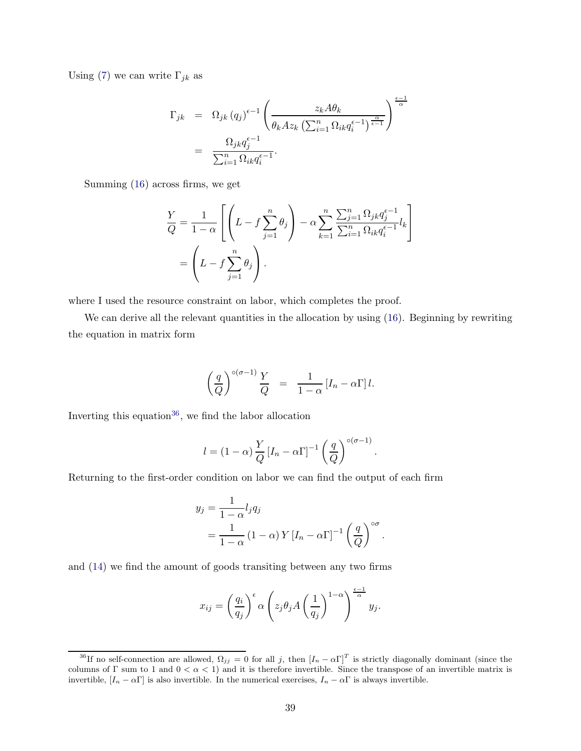Using [\(7\)](#page-7-3) we can write  $\Gamma_{jk}$  as

$$
\Gamma_{jk} = \Omega_{jk} (q_j)^{\epsilon - 1} \left( \frac{z_k A \theta_k}{\theta_k A z_k \left( \sum_{i=1}^n \Omega_{ik} q_i^{\epsilon - 1} \right)^{\frac{\alpha}{\epsilon - 1}}} \right)^{\frac{\epsilon - 1}{\alpha}}
$$
\n
$$
= \frac{\Omega_{jk} q_j^{\epsilon - 1}}{\sum_{i=1}^n \Omega_{ik} q_i^{\epsilon - 1}}.
$$

Summing [\(16\)](#page-37-0) across firms, we get

$$
\frac{Y}{Q} = \frac{1}{1-\alpha} \left[ \left( L - f \sum_{j=1}^{n} \theta_j \right) - \alpha \sum_{k=1}^{n} \frac{\sum_{j=1}^{n} \Omega_{jk} q_j^{\epsilon-1}}{\sum_{i=1}^{n} \Omega_{ik} q_i^{\epsilon-1}} l_k \right]
$$

$$
= \left( L - f \sum_{j=1}^{n} \theta_j \right).
$$

where I used the resource constraint on labor, which completes the proof.

We can derive all the relevant quantities in the allocation by using  $(16)$ . Beginning by rewriting the equation in matrix form

$$
\left(\frac{q}{Q}\right)^{\circ(\sigma-1)}\frac{Y}{Q} = \frac{1}{1-\alpha}\left[I_n - \alpha\Gamma\right]l.
$$

Inverting this equation<sup>36</sup>, we find the labor allocation

$$
l = (1 - \alpha) \frac{Y}{Q} [I_n - \alpha \Gamma]^{-1} \left(\frac{q}{Q}\right)^{o(\sigma - 1)}.
$$

Returning to the first-order condition on labor we can find the output of each firm

$$
y_j = \frac{1}{1 - \alpha} l_j q_j
$$
  
= 
$$
\frac{1}{1 - \alpha} (1 - \alpha) Y [I_n - \alpha \Gamma]^{-1} \left(\frac{q}{Q}\right)^{\infty}.
$$

and [\(14\)](#page-36-2) we find the amount of goods transiting between any two firms

$$
x_{ij} = \left(\frac{q_i}{q_j}\right)^{\epsilon} \alpha \left(z_j \theta_j A\left(\frac{1}{q_j}\right)^{1-\alpha}\right)^{\frac{\epsilon-1}{\alpha}} y_j.
$$

<sup>&</sup>lt;sup>36</sup>If no self-connection are allowed,  $\Omega_{jj} = 0$  for all j, then  $[I_n - \alpha \Gamma]^T$  is strictly diagonally dominant (since the columns of Γ sum to 1 and  $0 < \alpha < 1$ ) and it is therefore invertible. Since the transpose of an invertible matrix is invertible,  $[I_n - \alpha \Gamma]$  is also invertible. In the numerical exercises,  $I_n - \alpha \Gamma$  is always invertible.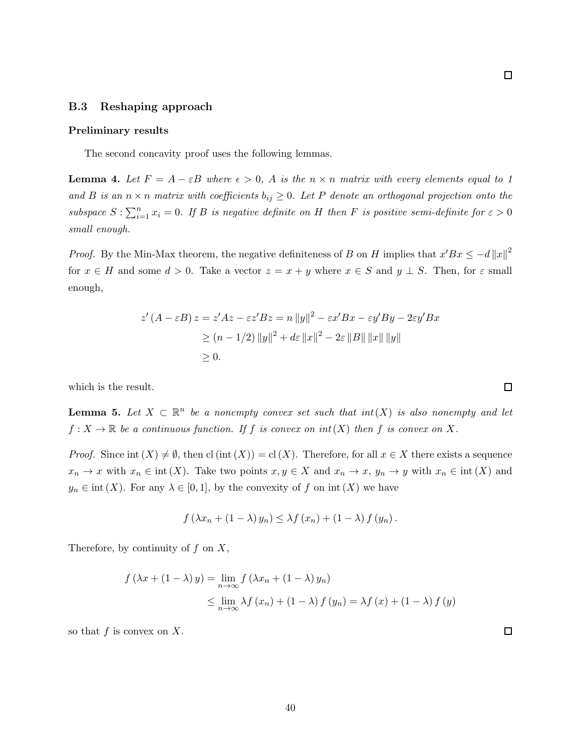### B.3 Reshaping approach

#### Preliminary results

The second concavity proof uses the following lemmas.

<span id="page-39-0"></span>**Lemma 4.** Let  $F = A - \varepsilon B$  where  $\epsilon > 0$ , A is the  $n \times n$  matrix with every elements equal to 1 and B is an  $n \times n$  matrix with coefficients  $b_{ij} \geq 0$ . Let P denote an orthogonal projection onto the subspace  $S: \sum_{i=1}^n x_i = 0$ . If B is negative definite on H then F is positive semi-definite for  $\varepsilon > 0$ small enough.

*Proof.* By the Min-Max theorem, the negative definiteness of B on H implies that  $x'Bx \leq -d||x||^2$ for  $x \in H$  and some  $d > 0$ . Take a vector  $z = x + y$  where  $x \in S$  and  $y \perp S$ . Then, for  $\varepsilon$  small enough,

$$
z'(A - \varepsilon B) z = z'Az - \varepsilon z' B z = n ||y||^2 - \varepsilon x' B x - \varepsilon y' B y - 2\varepsilon y' B x
$$
  
\n
$$
\ge (n - 1/2) ||y||^2 + d\varepsilon ||x||^2 - 2\varepsilon ||B|| ||x|| ||y||
$$
  
\n
$$
\ge 0.
$$

which is the result.

<span id="page-39-1"></span>**Lemma 5.** Let  $X \subset \mathbb{R}^n$  be a nonempty convex set such that  $int(X)$  is also nonempty and let  $f: X \to \mathbb{R}$  be a continuous function. If f is convex on  $int(X)$  then f is convex on X.

*Proof.* Since int  $(X) \neq \emptyset$ , then cl (int  $(X)$ ) = cl  $(X)$ . Therefore, for all  $x \in X$  there exists a sequence  $x_n \to x$  with  $x_n \in \text{int}(X)$ . Take two points  $x, y \in X$  and  $x_n \to x$ ,  $y_n \to y$  with  $x_n \in \text{int}(X)$  and  $y_n \in \text{int}(X)$ . For any  $\lambda \in [0,1]$ , by the convexity of f on  $\text{int}(X)$  we have

$$
f(\lambda x_n + (1 - \lambda) y_n) \leq \lambda f(x_n) + (1 - \lambda) f(y_n).
$$

Therefore, by continuity of  $f$  on  $X$ ,

$$
f(\lambda x + (1 - \lambda) y) = \lim_{n \to \infty} f(\lambda x_n + (1 - \lambda) y_n)
$$
  
\$\leq\$ 
$$
\lim_{n \to \infty} \lambda f(x_n) + (1 - \lambda) f(y_n) = \lambda f(x) + (1 - \lambda) f(y)
$$

so that  $f$  is convex on  $X$ .

 $\Box$ 

 $\Box$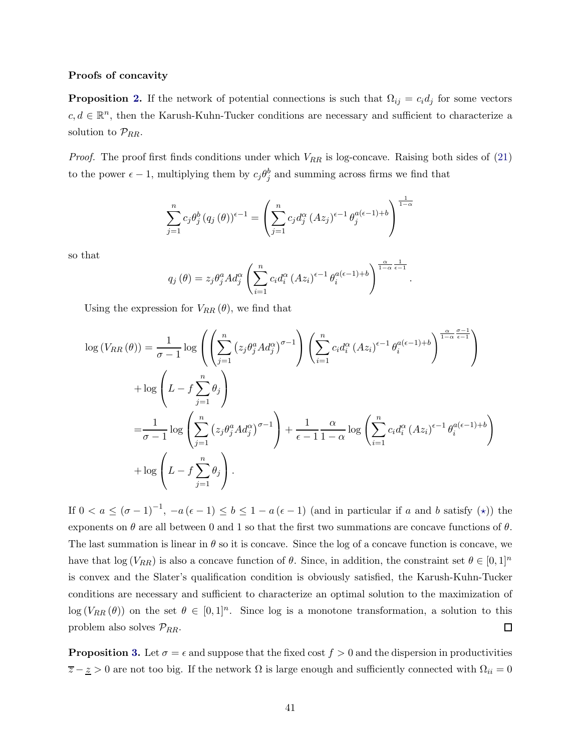#### Proofs of concavity

**Proposition [2.](#page-10-0)** If the network of potential connections is such that  $\Omega_{ij} = c_i d_j$  for some vectors  $c, d \in \mathbb{R}^n$ , then the Karush-Kuhn-Tucker conditions are necessary and sufficient to characterize a solution to  $\mathcal{P}_{RR}$ .

*Proof.* The proof first finds conditions under which  $V_{RR}$  is log-concave. Raising both sides of [\(21\)](#page-43-0) to the power  $\epsilon - 1$ , multiplying them by  $c_j \theta_j^b$  and summing across firms we find that

$$
\sum_{j=1}^{n} c_j \theta_j^b (q_j(\theta)) \epsilon^{-1} = \left( \sum_{j=1}^{n} c_j d_j^{\alpha} (Az_j)^{\epsilon-1} \theta_j^{a(\epsilon-1)+b} \right)^{\frac{1}{1-\alpha}}
$$

so that

$$
q_j(\theta) = z_j \theta_j^a A d_j^{\alpha} \left( \sum_{i=1}^n c_i d_i^{\alpha} (Az_i)^{\epsilon-1} \theta_i^{a(\epsilon-1)+b} \right)^{\frac{\alpha}{1-\alpha} \frac{1}{\epsilon-1}}
$$

.

Using the expression for  $V_{RR}(\theta)$ , we find that

$$
\log (V_{RR}(\theta)) = \frac{1}{\sigma - 1} \log \left( \left( \sum_{j=1}^{n} \left( z_j \theta_j^a A d_j^{\alpha} \right)^{\sigma - 1} \right) \left( \sum_{i=1}^{n} c_i d_i^{\alpha} (A z_i)^{\epsilon - 1} \theta_i^{a(\epsilon - 1) + b} \right)^{\frac{\alpha}{1 - \alpha} \frac{\sigma - 1}{\epsilon - 1}} \right)
$$
  
+ 
$$
\log \left( L - f \sum_{j=1}^{n} \theta_j \right)
$$
  
= 
$$
\frac{1}{\sigma - 1} \log \left( \sum_{j=1}^{n} \left( z_j \theta_j^a A d_j^{\alpha} \right)^{\sigma - 1} \right) + \frac{1}{\epsilon - 1} \frac{\alpha}{1 - \alpha} \log \left( \sum_{i=1}^{n} c_i d_i^{\alpha} (A z_i)^{\epsilon - 1} \theta_i^{a(\epsilon - 1) + b} \right)
$$
  
+ 
$$
\log \left( L - f \sum_{j=1}^{n} \theta_j \right).
$$

If  $0 < a \leq (\sigma - 1)^{-1}$ ,  $-a(\epsilon - 1) \leq b \leq 1 - a(\epsilon - 1)$  (and in particular if a and b satisfy  $(\star)$ ) the exponents on  $\theta$  are all between 0 and 1 so that the first two summations are concave functions of  $\theta$ . The last summation is linear in  $\theta$  so it is concave. Since the log of a concave function is concave, we have that  $\log(V_{RR})$  is also a concave function of  $\theta$ . Since, in addition, the constraint set  $\theta \in [0,1]^n$ is convex and the Slater's qualification condition is obviously satisfied, the Karush-Kuhn-Tucker conditions are necessary and sufficient to characterize an optimal solution to the maximization of  $\log(V_{RR}(\theta))$  on the set  $\theta \in [0,1]^n$ . Since log is a monotone transformation, a solution to this problem also solves  $\mathcal{P}_{RR}$ .  $\Box$ 

**Proposition [3.](#page-10-1)** Let  $\sigma = \epsilon$  and suppose that the fixed cost  $f > 0$  and the dispersion in productivities  $\overline{z} - \underline{z} > 0$  are not too big. If the network  $\Omega$  is large enough and sufficiently connected with  $\Omega_{ii} = 0$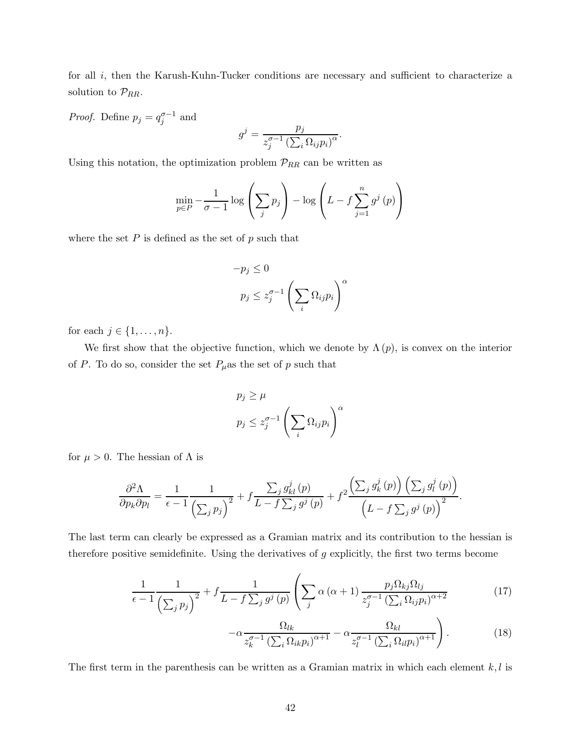for all *i*, then the Karush-Kuhn-Tucker conditions are necessary and sufficient to characterize a solution to  $\mathcal{P}_{RR}$ .

*Proof.* Define  $p_j = q_j^{\sigma-1}$  and

$$
g^j = \frac{p_j}{z_j^{\sigma-1} \left(\sum_i \Omega_{ij} p_i\right)^{\alpha}}.
$$

Using this notation, the optimization problem  $\mathcal{P}_{RR}$  can be written as

$$
\min_{p \in P} -\frac{1}{\sigma - 1} \log \left( \sum_{j} p_j \right) - \log \left( L - f \sum_{j=1}^{n} g^j \left( p \right) \right)
$$

where the set  $P$  is defined as the set of  $p$  such that

$$
-p_j \le 0
$$
  

$$
p_j \le z_j^{\sigma-1} \left(\sum_i \Omega_{ij} p_i\right)^{\alpha}
$$

for each  $j \in \{1, \ldots, n\}.$ 

We first show that the objective function, which we denote by  $\Lambda(p)$ , is convex on the interior of P. To do so, consider the set  $P_\mu$ as the set of p such that

$$
p_j \ge \mu
$$
  

$$
p_j \le z_j^{\sigma-1} \left(\sum_i \Omega_{ij} p_i\right)^{\alpha}
$$

for  $\mu > 0$ . The hessian of  $\Lambda$  is

$$
\frac{\partial^2 \Lambda}{\partial p_k \partial p_l} = \frac{1}{\epsilon - 1} \frac{1}{\left(\sum_j p_j\right)^2} + f \frac{\sum_j g_{kl}^j(p)}{L - f \sum_j g^j(p)} + f^2 \frac{\left(\sum_j g_k^j(p)\right) \left(\sum_j g_l^j(p)\right)}{\left(L - f \sum_j g^j(p)\right)^2}.
$$

The last term can clearly be expressed as a Gramian matrix and its contribution to the hessian is therefore positive semidefinite. Using the derivatives of  $g$  explicitly, the first two terms become

$$
\frac{1}{\epsilon - 1} \frac{1}{\left(\sum_{j} p_{j}\right)^{2}} + f \frac{1}{L - f \sum_{j} g^{j}\left(p\right)} \left(\sum_{j} \alpha\left(\alpha + 1\right) \frac{p_{j} \Omega_{kj} \Omega_{lj}}{z_{j}^{\sigma - 1}\left(\sum_{i} \Omega_{ij} p_{i}\right)^{\alpha + 2}}\right)
$$
(17)

<span id="page-41-0"></span>
$$
-\alpha \frac{\Omega_{lk}}{z_k^{\sigma-1} \left(\sum_i \Omega_{ik} p_i\right)^{\alpha+1}} - \alpha \frac{\Omega_{kl}}{z_l^{\sigma-1} \left(\sum_i \Omega_{il} p_i\right)^{\alpha+1}}\right).
$$
(18)

The first term in the parenthesis can be written as a Gramian matrix in which each element  $k, l$  is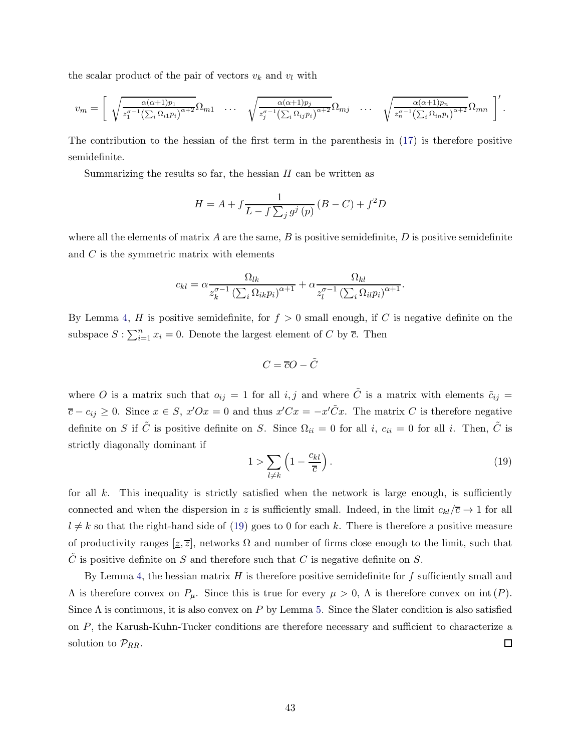the scalar product of the pair of vectors  $v_k$  and  $v_l$  with

$$
v_m = \left[ \sqrt{\frac{\alpha(\alpha+1)p_1}{z_1^{\sigma-1}(\sum_i \Omega_{i1}p_i)^{\alpha+2}}} \Omega_{m1} \cdots \sqrt{\frac{\alpha(\alpha+1)p_j}{z_j^{\sigma-1}(\sum_i \Omega_{ij}p_i)^{\alpha+2}}} \Omega_{mj} \cdots \sqrt{\frac{\alpha(\alpha+1)p_n}{z_n^{\sigma-1}(\sum_i \Omega_{in}p_i)^{\alpha+2}}} \Omega_{mn} \right].
$$

The contribution to the hessian of the first term in the parenthesis in [\(17\)](#page-41-0) is therefore positive semidefinite.

Summarizing the results so far, the hessian  $H$  can be written as

$$
H=A+f\frac{1}{L-f\sum_{j}g^{j}\left( p\right) }\left( B-C\right) +f^{2}D
$$

where all the elements of matrix A are the same, B is positive semidefinite, D is positive semidefinite and  $C$  is the symmetric matrix with elements

$$
c_{kl} = \alpha \frac{\Omega_{lk}}{z_k^{\sigma-1} \left(\sum_i \Omega_{ik} p_i\right)^{\alpha+1}} + \alpha \frac{\Omega_{kl}}{z_l^{\sigma-1} \left(\sum_i \Omega_{il} p_i\right)^{\alpha+1}}.
$$

By Lemma [4,](#page-39-0) H is positive semidefinite, for  $f > 0$  small enough, if C is negative definite on the subspace  $S: \sum_{i=1}^{n} x_i = 0$ . Denote the largest element of C by  $\overline{c}$ . Then

$$
C = \overline{c}O - \tilde{C}
$$

where O is a matrix such that  $o_{ij} = 1$  for all i, j and where  $\tilde{C}$  is a matrix with elements  $\tilde{c}_{ij} =$  $\overline{c} - c_{ij} \geq 0$ . Since  $x \in S$ ,  $x'Ox = 0$  and thus  $x'Cx = -x'\tilde{C}x$ . The matrix C is therefore negative definite on S if  $\tilde{C}$  is positive definite on S. Since  $\Omega_{ii} = 0$  for all i,  $c_{ii} = 0$  for all i. Then,  $\tilde{C}$  is strictly diagonally dominant if

<span id="page-42-0"></span>
$$
1 > \sum_{l \neq k} \left( 1 - \frac{c_{kl}}{\overline{c}} \right). \tag{19}
$$

for all  $k$ . This inequality is strictly satisfied when the network is large enough, is sufficiently connected and when the dispersion in z is sufficiently small. Indeed, in the limit  $c_{kl}/\overline{c} \rightarrow 1$  for all  $l \neq k$  so that the right-hand side of [\(19\)](#page-42-0) goes to 0 for each k. There is therefore a positive measure of productivity ranges  $[\underline{z}, \overline{z}]$ , networks  $\Omega$  and number of firms close enough to the limit, such that C is positive definite on S and therefore such that C is negative definite on S.

By Lemma [4,](#page-39-0) the hessian matrix  $H$  is therefore positive semidefinite for  $f$  sufficiently small and  $Λ$  is therefore convex on  $P_{\mu}$ . Since this is true for every  $\mu > 0$ , Λ is therefore convex on int (P). Since  $\Lambda$  is continuous, it is also convex on P by Lemma [5.](#page-39-1) Since the Slater condition is also satisfied on P, the Karush-Kuhn-Tucker conditions are therefore necessary and sufficient to characterize a solution to  $\mathcal{P}_{RR}$ .  $\Box$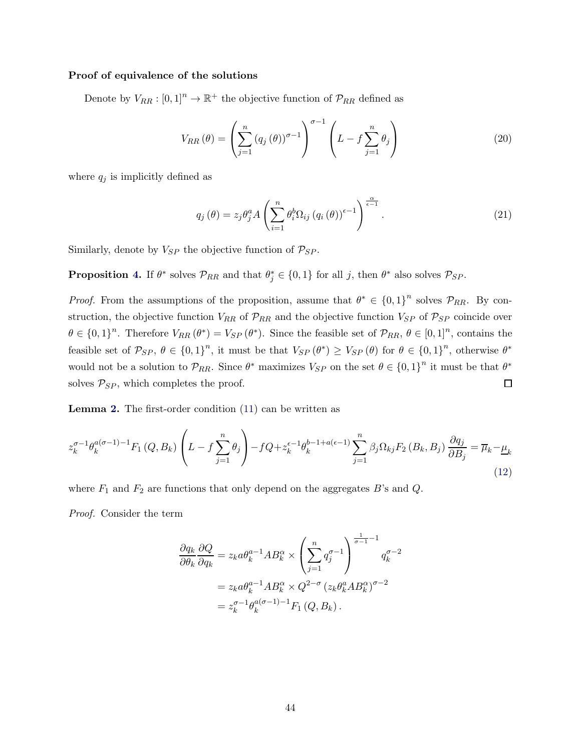#### Proof of equivalence of the solutions

Denote by  $V_{RR} : [0,1]^n \to \mathbb{R}^+$  the objective function of  $\mathcal{P}_{RR}$  defined as

$$
V_{RR}(\theta) = \left(\sum_{j=1}^{n} (q_j(\theta))^{\sigma-1}\right)^{\sigma-1} \left(L - f \sum_{j=1}^{n} \theta_j\right)
$$
 (20)

where  $q_j$  is implicitly defined as

<span id="page-43-0"></span>
$$
q_j(\theta) = z_j \theta_j^a A \left( \sum_{i=1}^n \theta_i^b \Omega_{ij} (q_i(\theta))^{\epsilon-1} \right)^{\frac{\alpha}{\epsilon-1}}.
$$
 (21)

Similarly, denote by  $V_{SP}$  the objective function of  $P_{SP}$ .

**Proposition [4.](#page-10-2)** If  $\theta^*$  solves  $\mathcal{P}_{RR}$  and that  $\theta_j^* \in \{0,1\}$  for all j, then  $\theta^*$  also solves  $\mathcal{P}_{SP}$ .

*Proof.* From the assumptions of the proposition, assume that  $\theta^* \in \{0,1\}^n$  solves  $\mathcal{P}_{RR}$ . By construction, the objective function  $V_{RR}$  of  $\mathcal{P}_{RR}$  and the objective function  $V_{SP}$  of  $\mathcal{P}_{SP}$  coincide over  $\theta \in \{0,1\}^n$ . Therefore  $V_{RR}(\theta^*) = V_{SP}(\theta^*)$ . Since the feasible set of  $\mathcal{P}_{RR}, \theta \in [0,1]^n$ , contains the feasible set of  $\mathcal{P}_{SP}, \theta \in \{0,1\}^n$ , it must be that  $V_{SP}(\theta^*) \geq V_{SP}(\theta)$  for  $\theta \in \{0,1\}^n$ , otherwise  $\theta^*$ would not be a solution to  $\mathcal{P}_{RR}$ . Since  $\theta^*$  maximizes  $V_{SP}$  on the set  $\theta \in \{0,1\}^n$  it must be that  $\theta^*$ solves  $P_{SP}$ , which completes the proof.  $\Box$ 

Lemma [2.](#page-12-1) The first-order condition [\(11\)](#page-11-0) can be written as

$$
z_k^{\sigma-1}\theta_k^{a(\sigma-1)-1}F_1(Q,B_k)\left(L-f\sum_{j=1}^n\theta_j\right)-fQ+z_k^{\epsilon-1}\theta_k^{b-1+a(\epsilon-1)}\sum_{j=1}^n\beta_j\Omega_{kj}F_2(B_k,B_j)\frac{\partial q_j}{\partial B_j}=\overline{\mu}_k-\underline{\mu}_k\tag{12}
$$

where  $F_1$  and  $F_2$  are functions that only depend on the aggregates B's and Q.

Proof. Consider the term

$$
\frac{\partial q_k}{\partial \theta_k} \frac{\partial Q}{\partial q_k} = z_k a \theta_k^{a-1} A B_k^{\alpha} \times \left( \sum_{j=1}^n q_j^{\sigma-1} \right)^{\frac{1}{\sigma-1}-1} q_k^{\sigma-2}
$$

$$
= z_k a \theta_k^{a-1} A B_k^{\alpha} \times Q^{2-\sigma} (z_k \theta_k^a A B_k^{\alpha})^{\sigma-2}
$$

$$
= z_k^{\sigma-1} \theta_k^{a(\sigma-1)-1} F_1 (Q, B_k).
$$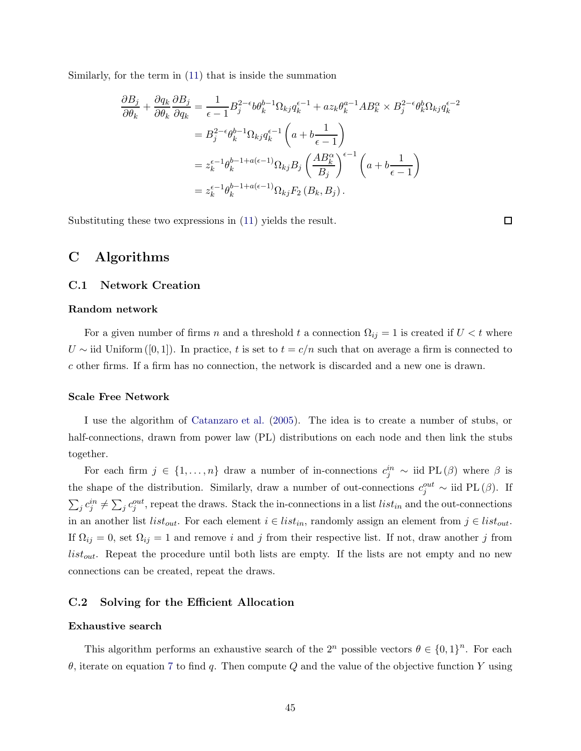Similarly, for the term in [\(11\)](#page-11-0) that is inside the summation

$$
\frac{\partial B_j}{\partial \theta_k} + \frac{\partial q_k}{\partial \theta_k} \frac{\partial B_j}{\partial q_k} = \frac{1}{\epsilon - 1} B_j^{2-\epsilon} b \theta_k^{b-1} \Omega_{kj} q_k^{\epsilon - 1} + a z_k \theta_k^{a-1} A B_k^{\alpha} \times B_j^{2-\epsilon} \theta_k^b \Omega_{kj} q_k^{\epsilon - 2}
$$
  
\n
$$
= B_j^{2-\epsilon} \theta_k^{b-1} \Omega_{kj} q_k^{\epsilon - 1} \left( a + b \frac{1}{\epsilon - 1} \right)
$$
  
\n
$$
= z_k^{\epsilon - 1} \theta_k^{b-1 + a(\epsilon - 1)} \Omega_{kj} B_j \left( \frac{A B_k^{\alpha}}{B_j} \right)^{\epsilon - 1} \left( a + b \frac{1}{\epsilon - 1} \right)
$$
  
\n
$$
= z_k^{\epsilon - 1} \theta_k^{b-1 + a(\epsilon - 1)} \Omega_{kj} F_2 (B_k, B_j).
$$

Substituting these two expressions in [\(11\)](#page-11-0) yields the result.

 $\Box$ 

# <span id="page-44-0"></span>C Algorithms

#### C.1 Network Creation

#### Random network

For a given number of firms n and a threshold t a connection  $\Omega_{ij} = 1$  is created if  $U < t$  where U ~ iid Uniform ([0,1]). In practice, t is set to  $t = c/n$  such that on average a firm is connected to c other firms. If a firm has no connection, the network is discarded and a new one is drawn.

#### Scale Free Network

I use the algorithm of [Catanzaro et al.](#page-31-14) [\(2005](#page-31-14)). The idea is to create a number of stubs, or half-connections, drawn from power law (PL) distributions on each node and then link the stubs together.

For each firm  $j \in \{1, ..., n\}$  draw a number of in-connections  $c_j^{in} \sim$  iid PL $(\beta)$  where  $\beta$  is the shape of the distribution. Similarly, draw a number of out-connections  $c_j^{out} \sim$  iid PL $(\beta)$ . If  $\sum_j c_j^{in} \neq \sum_j c_j^{out}$ , repeat the draws. Stack the in-connections in a list  $list_{in}$  and the out-connections in an another list  $list_{out}$ . For each element  $i \in list_{in}$ , randomly assign an element from  $j \in list_{out}$ . If  $\Omega_{ij} = 0$ , set  $\Omega_{ij} = 1$  and remove i and j from their respective list. If not, draw another j from  $list_{out}$ . Repeat the procedure until both lists are empty. If the lists are not empty and no new connections can be created, repeat the draws.

#### <span id="page-44-1"></span>C.2 Solving for the Efficient Allocation

#### Exhaustive search

This algorithm performs an exhaustive search of the  $2^n$  possible vectors  $\theta \in \{0,1\}^n$ . For each θ, iterate on equation [7](#page-7-3) to find q. Then compute Q and the value of the objective function Y using